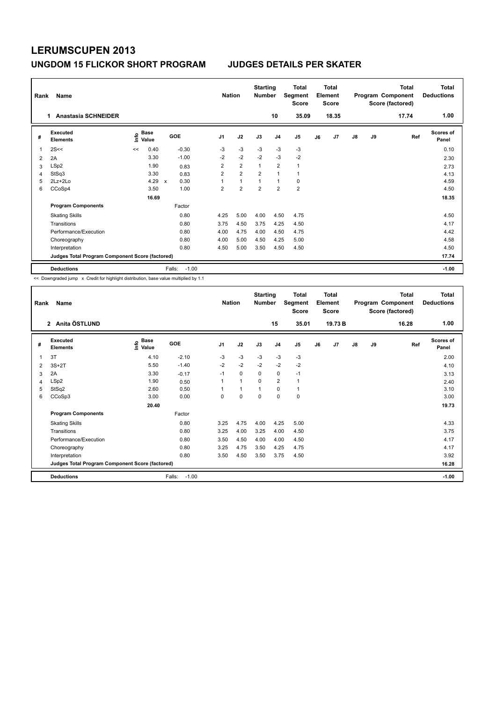| Rank | Name<br><b>Anastasia SCHNEIDER</b><br>1         |    |                                  |                     |                | <b>Nation</b>  | <b>Starting</b><br><b>Number</b> | 10             | <b>Total</b><br>Segment<br><b>Score</b><br>35.09 |    | <b>Total</b><br>Element<br><b>Score</b><br>18.35 |               |    | <b>Total</b><br>Program Component<br>Score (factored)<br>17.74 | <b>Total</b><br><b>Deductions</b><br>1.00 |
|------|-------------------------------------------------|----|----------------------------------|---------------------|----------------|----------------|----------------------------------|----------------|--------------------------------------------------|----|--------------------------------------------------|---------------|----|----------------------------------------------------------------|-------------------------------------------|
| #    | Executed<br><b>Elements</b>                     |    | <b>Base</b><br>e Base<br>⊆ Value | GOE                 | J <sub>1</sub> | J2             | J3                               | J <sub>4</sub> | J <sub>5</sub>                                   | J6 | J7                                               | $\mathsf{J}8$ | J9 | Ref                                                            | Scores of<br>Panel                        |
| 1    | 2S<<                                            | << | 0.40                             | $-0.30$             | $-3$           | $-3$           | $-3$                             | $-3$           | $-3$                                             |    |                                                  |               |    |                                                                | 0.10                                      |
| 2    | 2A                                              |    | 3.30                             | $-1.00$             | $-2$           | $-2$           | $-2$                             | $-3$           | $-2$                                             |    |                                                  |               |    |                                                                | 2.30                                      |
| 3    | LSp2                                            |    | 1.90                             | 0.83                | $\overline{2}$ | $\overline{2}$ | $\mathbf{1}$                     | $\overline{2}$ | $\mathbf{1}$                                     |    |                                                  |               |    |                                                                | 2.73                                      |
| 4    | StSq3                                           |    | 3.30                             | 0.83                | $\overline{2}$ | $\overline{2}$ | $\overline{2}$                   | $\overline{1}$ | $\mathbf{1}$                                     |    |                                                  |               |    |                                                                | 4.13                                      |
| 5    | $2Lz+2Lo$                                       |    | 4.29                             | 0.30<br>$\mathbf x$ | 1              | $\mathbf{1}$   | $\mathbf{1}$                     | $\mathbf{1}$   | 0                                                |    |                                                  |               |    |                                                                | 4.59                                      |
| 6    | CCoSp4                                          |    | 3.50                             | 1.00                | $\overline{2}$ | $\overline{2}$ | $\overline{2}$                   | $\overline{2}$ | $\overline{\mathbf{c}}$                          |    |                                                  |               |    |                                                                | 4.50                                      |
|      |                                                 |    | 16.69                            |                     |                |                |                                  |                |                                                  |    |                                                  |               |    |                                                                | 18.35                                     |
|      | <b>Program Components</b>                       |    |                                  | Factor              |                |                |                                  |                |                                                  |    |                                                  |               |    |                                                                |                                           |
|      | <b>Skating Skills</b>                           |    |                                  | 0.80                | 4.25           | 5.00           | 4.00                             | 4.50           | 4.75                                             |    |                                                  |               |    |                                                                | 4.50                                      |
|      | Transitions                                     |    |                                  | 0.80                | 3.75           | 4.50           | 3.75                             | 4.25           | 4.50                                             |    |                                                  |               |    |                                                                | 4.17                                      |
|      | Performance/Execution                           |    |                                  | 0.80                | 4.00           | 4.75           | 4.00                             | 4.50           | 4.75                                             |    |                                                  |               |    |                                                                | 4.42                                      |
|      | Choreography                                    |    |                                  | 0.80                | 4.00           | 5.00           | 4.50                             | 4.25           | 5.00                                             |    |                                                  |               |    |                                                                | 4.58                                      |
|      | Interpretation                                  |    |                                  | 0.80                | 4.50           | 5.00           | 3.50                             | 4.50           | 4.50                                             |    |                                                  |               |    |                                                                | 4.50                                      |
|      | Judges Total Program Component Score (factored) |    |                                  |                     |                |                |                                  |                |                                                  |    |                                                  |               |    |                                                                | 17.74                                     |
|      | <b>Deductions</b>                               |    |                                  | $-1.00$<br>Falls:   |                |                |                                  |                |                                                  |    |                                                  |               |    |                                                                | $-1.00$                                   |

| Rank           | Name                                            |                             |                   | <b>Nation</b>  |              | <b>Starting</b><br><b>Number</b> |                | <b>Total</b><br>Segment<br><b>Score</b> |    | Total<br>Element<br>Score |    |    | <b>Total</b><br>Program Component<br>Score (factored) | <b>Total</b><br><b>Deductions</b> |
|----------------|-------------------------------------------------|-----------------------------|-------------------|----------------|--------------|----------------------------------|----------------|-----------------------------------------|----|---------------------------|----|----|-------------------------------------------------------|-----------------------------------|
|                | 2 Anita ÖSTLUND                                 |                             |                   |                |              |                                  | 15             | 35.01                                   |    | 19.73 B                   |    |    | 16.28                                                 | 1.00                              |
| #              | <b>Executed</b><br><b>Elements</b>              | <b>Base</b><br>١m٥<br>Value | GOE               | J <sub>1</sub> | J2           | J3                               | J <sub>4</sub> | J <sub>5</sub>                          | J6 | J7                        | J8 | J9 | Ref                                                   | <b>Scores of</b><br>Panel         |
| 1              | 3T                                              | 4.10                        | $-2.10$           | $-3$           | $-3$         | $-3$                             | $-3$           | $-3$                                    |    |                           |    |    |                                                       | 2.00                              |
| $\overline{2}$ | $3S+2T$                                         | 5.50                        | $-1.40$           | $-2$           | $-2$         | $-2$                             | $-2$           | $-2$                                    |    |                           |    |    |                                                       | 4.10                              |
| 3              | 2A                                              | 3.30                        | $-0.17$           | $-1$           | $\Omega$     | $\Omega$                         | $\mathbf 0$    | $-1$                                    |    |                           |    |    |                                                       | 3.13                              |
| 4              | LSp2                                            | 1.90                        | 0.50              | 1              | $\mathbf{1}$ | $\Omega$                         | $\overline{2}$ | 1                                       |    |                           |    |    |                                                       | 2.40                              |
| 5              | StSq2                                           | 2.60                        | 0.50              |                | 1            | $\overline{1}$                   | 0              | 1                                       |    |                           |    |    |                                                       | 3.10                              |
| 6              | CCoSp3                                          | 3.00                        | 0.00              | 0              | 0            | $\Omega$                         | $\mathbf 0$    | 0                                       |    |                           |    |    |                                                       | 3.00                              |
|                |                                                 | 20.40                       |                   |                |              |                                  |                |                                         |    |                           |    |    |                                                       | 19.73                             |
|                | <b>Program Components</b>                       |                             | Factor            |                |              |                                  |                |                                         |    |                           |    |    |                                                       |                                   |
|                | <b>Skating Skills</b>                           |                             | 0.80              | 3.25           | 4.75         | 4.00                             | 4.25           | 5.00                                    |    |                           |    |    |                                                       | 4.33                              |
|                | Transitions                                     |                             | 0.80              | 3.25           | 4.00         | 3.25                             | 4.00           | 4.50                                    |    |                           |    |    |                                                       | 3.75                              |
|                | Performance/Execution                           |                             | 0.80              | 3.50           | 4.50         | 4.00                             | 4.00           | 4.50                                    |    |                           |    |    |                                                       | 4.17                              |
|                | Choreography                                    |                             | 0.80              | 3.25           | 4.75         | 3.50                             | 4.25           | 4.75                                    |    |                           |    |    |                                                       | 4.17                              |
|                | Interpretation                                  |                             | 0.80              | 3.50           | 4.50         | 3.50                             | 3.75           | 4.50                                    |    |                           |    |    |                                                       | 3.92                              |
|                | Judges Total Program Component Score (factored) |                             |                   |                |              |                                  |                |                                         |    |                           |    |    |                                                       | 16.28                             |
|                | <b>Deductions</b>                               |                             | $-1.00$<br>Falls: |                |              |                                  |                |                                         |    |                           |    |    |                                                       | $-1.00$                           |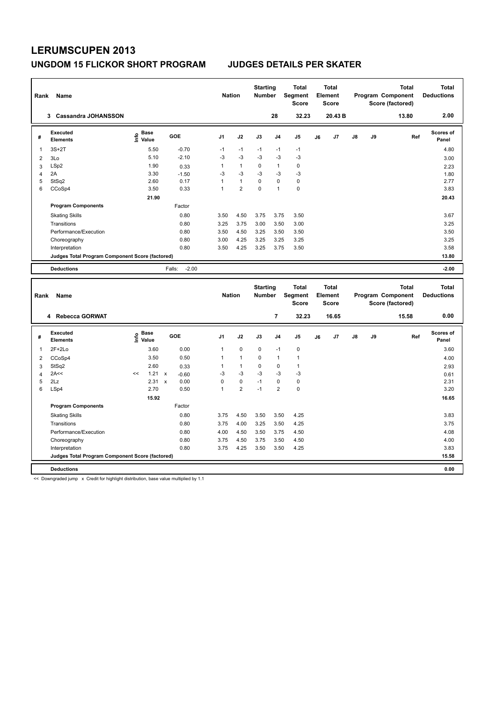| Rank           | Name                                                                 |                              |                              | <b>Nation</b>     |                             | <b>Starting</b><br>Number        |                             | <b>Total</b><br>Segment<br><b>Score</b> |    | <b>Total</b><br>Element<br><b>Score</b> |    |    | <b>Total</b><br>Program Component<br>Score (factored) | <b>Total</b><br><b>Deductions</b> |
|----------------|----------------------------------------------------------------------|------------------------------|------------------------------|-------------------|-----------------------------|----------------------------------|-----------------------------|-----------------------------------------|----|-----------------------------------------|----|----|-------------------------------------------------------|-----------------------------------|
|                | 3 Cassandra JOHANSSON                                                |                              |                              |                   |                             |                                  | 28                          | 32.23                                   |    | 20.43 B                                 |    |    | 13.80                                                 | 2.00                              |
| #              | <b>Executed</b><br><b>Elements</b>                                   | e Base<br>E Value            | GOE                          | J1                | J2                          | J3                               | J <sub>4</sub>              | J5                                      | J6 | J7                                      | J8 | J9 | Ref                                                   | Scores of<br>Panel                |
| 1              | $3S+2T$                                                              | 5.50                         | $-0.70$                      | $-1$              | $-1$                        | $-1$                             | $-1$                        | $-1$                                    |    |                                         |    |    |                                                       | 4.80                              |
| $\overline{2}$ | 3Lo                                                                  | 5.10                         | $-2.10$                      | $-3$              | $-3$                        | $-3$                             | $-3$                        | $-3$                                    |    |                                         |    |    |                                                       | 3.00                              |
| 3              | LSp2                                                                 | 1.90                         | 0.33                         | $\mathbf{1}$      | $\mathbf{1}$                | $\Omega$                         | $\mathbf{1}$                | 0                                       |    |                                         |    |    |                                                       | 2.23                              |
| $\overline{4}$ | 2A                                                                   | 3.30                         | $-1.50$                      | $-3$              | $-3$                        | $-3$                             | $-3$                        | $-3$                                    |    |                                         |    |    |                                                       | 1.80                              |
| 5              | StSq2                                                                | 2.60                         | 0.17                         | $\mathbf{1}$      | $\mathbf{1}$                | 0                                | $\mathbf 0$                 | $\pmb{0}$                               |    |                                         |    |    |                                                       | 2.77                              |
| 6              | CCoSp4                                                               | 3.50                         | 0.33                         | 1                 | $\overline{\mathbf{c}}$     | 0                                | $\overline{1}$              | $\pmb{0}$                               |    |                                         |    |    |                                                       | 3.83                              |
|                |                                                                      | 21.90                        |                              |                   |                             |                                  |                             |                                         |    |                                         |    |    |                                                       | 20.43                             |
|                | <b>Program Components</b>                                            |                              | Factor                       |                   |                             |                                  |                             |                                         |    |                                         |    |    |                                                       |                                   |
|                | <b>Skating Skills</b>                                                |                              | 0.80                         | 3.50              | 4.50                        | 3.75                             | 3.75                        | 3.50                                    |    |                                         |    |    |                                                       | 3.67                              |
|                | Transitions                                                          |                              | 0.80                         | 3.25              | 3.75                        | 3.00                             | 3.50                        | 3.00                                    |    |                                         |    |    |                                                       | 3.25                              |
|                | Performance/Execution                                                |                              | 0.80                         | 3.50              | 4.50                        | 3.25                             | 3.50                        | 3.50                                    |    |                                         |    |    |                                                       | 3.50                              |
|                | Choreography                                                         |                              | 0.80                         | 3.00              | 4.25                        | 3.25                             | 3.25                        | 3.25                                    |    |                                         |    |    |                                                       | 3.25                              |
|                | Interpretation                                                       |                              | 0.80                         | 3.50              | 4.25                        | 3.25                             | 3.75                        | 3.50                                    |    |                                         |    |    |                                                       | 3.58                              |
|                | Judges Total Program Component Score (factored)                      |                              |                              |                   |                             |                                  |                             |                                         |    |                                         |    |    |                                                       | 13.80                             |
|                | <b>Deductions</b>                                                    |                              | $-2.00$<br>Falls:            |                   |                             |                                  |                             |                                         |    |                                         |    |    |                                                       | $-2.00$                           |
|                |                                                                      |                              |                              |                   |                             |                                  |                             |                                         |    |                                         |    |    |                                                       |                                   |
|                |                                                                      |                              |                              |                   |                             |                                  |                             |                                         |    |                                         |    |    |                                                       |                                   |
| Rank           | Name                                                                 |                              |                              | <b>Nation</b>     |                             | <b>Starting</b><br><b>Number</b> |                             | <b>Total</b><br>Segment<br><b>Score</b> |    | <b>Total</b><br>Element<br><b>Score</b> |    |    | <b>Total</b><br>Program Component<br>Score (factored) | <b>Total</b><br><b>Deductions</b> |
|                | 4 Rebecca GORWAT                                                     |                              |                              |                   |                             |                                  | 7                           | 32.23                                   |    | 16.65                                   |    |    | 15.58                                                 | 0.00                              |
| #              | <b>Executed</b><br><b>Elements</b>                                   | <b>Base</b><br>١nf٥<br>Value | GOE                          | J <sub>1</sub>    | J2                          | J3                               | J <sub>4</sub>              | J5                                      | J6 | J7                                      | J8 | J9 | Ref                                                   | Scores of<br>Panel                |
|                |                                                                      |                              |                              |                   |                             |                                  |                             |                                         |    |                                         |    |    |                                                       |                                   |
| 1              | $2F+2Lo$                                                             | 3.60                         | 0.00                         | $\mathbf{1}$      | $\pmb{0}$                   | 0                                | $-1$                        | $\mathbf 0$                             |    |                                         |    |    |                                                       | 3.60                              |
| 2              | CCoSp4                                                               | 3.50                         | 0.50                         | $\mathbf{1}$      | $\mathbf{1}$                | 0                                | $\overline{1}$              | $\mathbf{1}$                            |    |                                         |    |    |                                                       | 4.00                              |
| 3              | StSq2                                                                | 2.60<br><<                   | 0.33                         | $\mathbf{1}$      | $\mathbf{1}$                | 0                                | $\mathbf 0$                 | $\mathbf{1}$                            |    |                                         |    |    |                                                       | 2.93                              |
| $\overline{4}$ | 2A<<                                                                 | 1.21                         | $\mathsf{x}$<br>$-0.60$      | $-3$              | $-3$                        | $-3$<br>$-1$                     | $-3$                        | $-3$                                    |    |                                         |    |    |                                                       | 0.61                              |
| 5<br>6         | 2Lz                                                                  | 2.31<br>2.70                 | $\pmb{\chi}$<br>0.00<br>0.50 | 0<br>$\mathbf{1}$ | $\pmb{0}$<br>$\overline{2}$ | $-1$                             | $\pmb{0}$<br>$\overline{2}$ | $\pmb{0}$<br>$\pmb{0}$                  |    |                                         |    |    |                                                       | 2.31<br>3.20                      |
|                | LSp4                                                                 | 15.92                        |                              |                   |                             |                                  |                             |                                         |    |                                         |    |    |                                                       | 16.65                             |
|                |                                                                      |                              | Factor                       |                   |                             |                                  |                             |                                         |    |                                         |    |    |                                                       |                                   |
|                | <b>Program Components</b>                                            |                              |                              |                   |                             |                                  |                             |                                         |    |                                         |    |    |                                                       |                                   |
|                | <b>Skating Skills</b>                                                |                              | 0.80                         | 3.75              | 4.50                        | 3.50                             | 3.50                        | 4.25                                    |    |                                         |    |    |                                                       | 3.83                              |
|                | Transitions                                                          |                              | 0.80                         | 3.75              | 4.00                        | 3.25                             | 3.50                        | 4.25                                    |    |                                         |    |    |                                                       | 3.75                              |
|                | Performance/Execution                                                |                              | 0.80                         | 4.00              | 4.50                        | 3.50                             | 3.75                        | 4.50                                    |    |                                         |    |    |                                                       | 4.08                              |
|                | Choreography                                                         |                              | 0.80                         | 3.75              | 4.50                        | 3.75                             | 3.50                        | 4.50                                    |    |                                         |    |    |                                                       | 4.00                              |
|                | Interpretation                                                       |                              | 0.80                         | 3.75              | 4.25                        | 3.50                             | 3.50                        | 4.25                                    |    |                                         |    |    |                                                       | 3.83                              |
|                | Judges Total Program Component Score (factored)<br><b>Deductions</b> |                              |                              |                   |                             |                                  |                             |                                         |    |                                         |    |    |                                                       | 15.58<br>0.00                     |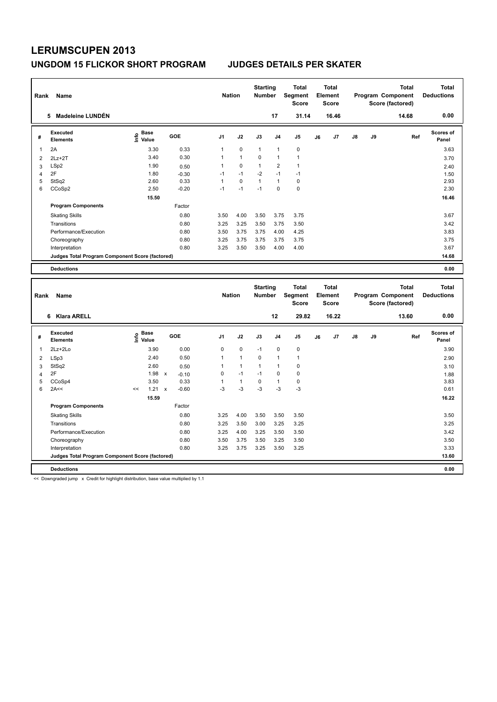| Rank           | Name                                            |                              |                         | <b>Nation</b>  |                | <b>Starting</b><br><b>Number</b> |                | <b>Total</b><br>Segment<br><b>Score</b> |    | <b>Total</b><br>Element<br><b>Score</b> |    |    | <b>Total</b><br>Program Component<br>Score (factored) | <b>Total</b><br><b>Deductions</b> |
|----------------|-------------------------------------------------|------------------------------|-------------------------|----------------|----------------|----------------------------------|----------------|-----------------------------------------|----|-----------------------------------------|----|----|-------------------------------------------------------|-----------------------------------|
|                | 5 Madeleine LUNDÉN                              |                              |                         |                |                |                                  | 17             | 31.14                                   |    | 16.46                                   |    |    | 14.68                                                 | 0.00                              |
| #              | <b>Executed</b><br><b>Elements</b>              | <b>Base</b><br>١nfo<br>Value | <b>GOE</b>              | J1             | J2             | J3                               | J <sub>4</sub> | J <sub>5</sub>                          | J6 | J7                                      | J8 | J9 | Ref                                                   | Scores of<br>Panel                |
| $\mathbf{1}$   | 2A                                              | 3.30                         | 0.33                    | $\mathbf{1}$   | $\mathbf 0$    | $\mathbf{1}$                     | $\mathbf{1}$   | $\mathbf 0$                             |    |                                         |    |    |                                                       | 3.63                              |
| $\overline{2}$ | $2Lz + 2T$                                      | 3.40                         | 0.30                    | 1              | $\overline{1}$ | $\mathbf 0$                      | $\mathbf{1}$   | $\mathbf{1}$                            |    |                                         |    |    |                                                       | 3.70                              |
| 3              | LSp2                                            | 1.90                         | 0.50                    | 1              | $\mathbf 0$    | $\mathbf{1}$                     | $\overline{2}$ | $\mathbf{1}$                            |    |                                         |    |    |                                                       | 2.40                              |
| $\overline{4}$ | 2F                                              | 1.80                         | $-0.30$                 | $-1$           | $-1$           | $-2$                             | $-1$           | $-1$                                    |    |                                         |    |    |                                                       | 1.50                              |
| 5              | StSq2                                           | 2.60                         | 0.33                    | $\mathbf{1}$   | $\mathbf 0$    | $\mathbf{1}$                     | $\mathbf{1}$   | $\mathbf 0$                             |    |                                         |    |    |                                                       | 2.93                              |
| 6              | CCoSp2                                          | 2.50                         | $-0.20$                 | $-1$           | $-1$           | $-1$                             | $\pmb{0}$      | $\pmb{0}$                               |    |                                         |    |    |                                                       | 2.30                              |
|                |                                                 | 15.50                        |                         |                |                |                                  |                |                                         |    |                                         |    |    |                                                       | 16.46                             |
|                | <b>Program Components</b>                       |                              | Factor                  |                |                |                                  |                |                                         |    |                                         |    |    |                                                       |                                   |
|                | <b>Skating Skills</b>                           |                              | 0.80                    | 3.50           | 4.00           | 3.50                             | 3.75           | 3.75                                    |    |                                         |    |    |                                                       | 3.67                              |
|                | Transitions                                     |                              | 0.80                    | 3.25           | 3.25           | 3.50                             | 3.75           | 3.50                                    |    |                                         |    |    |                                                       | 3.42                              |
|                | Performance/Execution                           |                              | 0.80                    | 3.50           | 3.75           | 3.75                             | 4.00           | 4.25                                    |    |                                         |    |    |                                                       | 3.83                              |
|                | Choreography                                    |                              | 0.80                    | 3.25           | 3.75           | 3.75                             | 3.75           | 3.75                                    |    |                                         |    |    |                                                       | 3.75                              |
|                | Interpretation                                  |                              | 0.80                    | 3.25           | 3.50           | 3.50                             | 4.00           | 4.00                                    |    |                                         |    |    |                                                       | 3.67                              |
|                | Judges Total Program Component Score (factored) |                              |                         |                |                |                                  |                |                                         |    |                                         |    |    |                                                       | 14.68                             |
|                | <b>Deductions</b>                               |                              |                         |                |                |                                  |                |                                         |    |                                         |    |    |                                                       | 0.00                              |
|                |                                                 |                              |                         |                |                |                                  |                |                                         |    |                                         |    |    |                                                       |                                   |
|                |                                                 |                              |                         |                |                |                                  |                |                                         |    |                                         |    |    |                                                       |                                   |
|                |                                                 |                              |                         |                |                | <b>Starting</b>                  |                | <b>Total</b>                            |    | <b>Total</b>                            |    |    | <b>Total</b>                                          | <b>Total</b>                      |
| Rank           | Name                                            |                              |                         | <b>Nation</b>  |                | <b>Number</b>                    |                | Segment                                 |    | Element                                 |    |    | Program Component                                     | <b>Deductions</b>                 |
|                |                                                 |                              |                         |                |                |                                  |                | <b>Score</b>                            |    | <b>Score</b>                            |    |    | Score (factored)                                      |                                   |
|                | 6 Klara ARELL                                   |                              |                         |                |                |                                  | 12             | 29.82                                   |    | 16.22                                   |    |    | 13.60                                                 | 0.00                              |
|                | <b>Executed</b>                                 | Base                         |                         |                |                |                                  |                |                                         |    |                                         |    |    |                                                       | Scores of                         |
| #              | <b>Elements</b>                                 | ۴ê<br>Value                  | <b>GOE</b>              | J <sub>1</sub> | J2             | J3                               | J <sub>4</sub> | J5                                      | J6 | J7                                      | J8 | J9 | Ref                                                   | Panel                             |
| 1              | 2Lz+2Lo                                         | 3.90                         | 0.00                    | $\mathbf 0$    | $\pmb{0}$      | $-1$                             | $\mathbf 0$    | $\pmb{0}$                               |    |                                         |    |    |                                                       | 3.90                              |
| 2              | LSp3                                            | 2.40                         | 0.50                    | $\mathbf{1}$   | $\overline{1}$ | 0                                | $\mathbf{1}$   | $\mathbf{1}$                            |    |                                         |    |    |                                                       | 2.90                              |
| 3              | StSq2                                           | 2.60                         | 0.50                    | $\overline{1}$ | $\overline{1}$ | $\mathbf{1}$                     | $\mathbf{1}$   | $\mathbf 0$                             |    |                                         |    |    |                                                       | 3.10                              |
| $\overline{4}$ | 2F                                              | 1.98                         | $\pmb{\chi}$<br>$-0.10$ | 0              | $-1$           | $-1$                             | $\mathbf 0$    | $\mathbf 0$                             |    |                                         |    |    |                                                       | 1.88                              |
| 5              | CCoSp4                                          | 3.50                         | 0.33                    | $\mathbf{1}$   | $\mathbf{1}$   | $\pmb{0}$                        | $\mathbf{1}$   | $\pmb{0}$                               |    |                                         |    |    |                                                       | 3.83                              |
| 6              | 2A<<                                            | 1.21<br><<                   | $-0.60$<br>$\mathbf{x}$ | $-3$           | $-3$           | $-3$                             | $-3$           | -3                                      |    |                                         |    |    |                                                       | 0.61                              |
|                |                                                 | 15.59                        |                         |                |                |                                  |                |                                         |    |                                         |    |    |                                                       | 16.22                             |
|                | <b>Program Components</b>                       |                              | Factor                  |                |                |                                  |                |                                         |    |                                         |    |    |                                                       |                                   |
|                | <b>Skating Skills</b>                           |                              | 0.80                    | 3.25           | 4.00           | 3.50                             | 3.50           | 3.50                                    |    |                                         |    |    |                                                       | 3.50                              |
|                | Transitions                                     |                              | 0.80                    | 3.25           | 3.50           | 3.00                             | 3.25           | 3.25                                    |    |                                         |    |    |                                                       | 3.25                              |
|                | Performance/Execution                           |                              | 0.80                    | 3.25           | 4.00           | 3.25                             | 3.50           | 3.50                                    |    |                                         |    |    |                                                       | 3.42                              |
|                | Choreography                                    |                              | 0.80                    | 3.50           | 3.75           | 3.50                             | 3.25           | 3.50                                    |    |                                         |    |    |                                                       | 3.50                              |
|                | Interpretation                                  |                              | 0.80                    | 3.25           | 3.75           | 3.25                             | 3.50           | 3.25                                    |    |                                         |    |    |                                                       | 3.33                              |
|                | Judges Total Program Component Score (factored) |                              |                         |                |                |                                  |                |                                         |    |                                         |    |    |                                                       | 13.60                             |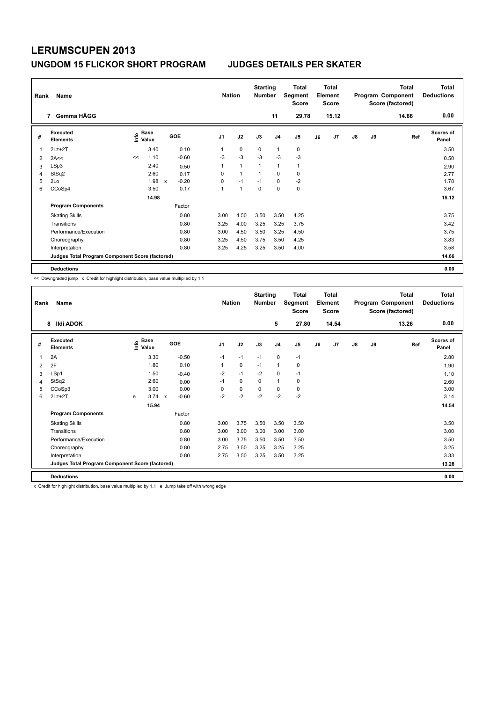| Rank           | Name                                            |      |                      |              |         |                | <b>Nation</b>  | <b>Starting</b><br><b>Number</b> |                | Total<br>Segment<br><b>Score</b> |    | <b>Total</b><br>Element<br><b>Score</b> |               |    | <b>Total</b><br>Program Component<br>Score (factored) | <b>Total</b><br><b>Deductions</b> |
|----------------|-------------------------------------------------|------|----------------------|--------------|---------|----------------|----------------|----------------------------------|----------------|----------------------------------|----|-----------------------------------------|---------------|----|-------------------------------------------------------|-----------------------------------|
|                | 7 Gemma HÄGG                                    |      |                      |              |         |                |                |                                  | 11             | 29.78                            |    | 15.12                                   |               |    | 14.66                                                 | 0.00                              |
| #              | <b>Executed</b><br><b>Elements</b>              | lnfo | <b>Base</b><br>Value |              | GOE     | J <sub>1</sub> | J2             | J3                               | J <sub>4</sub> | J5                               | J6 | J7                                      | $\mathsf{J}8$ | J9 | Ref                                                   | <b>Scores of</b><br>Panel         |
|                | $2Lz + 2T$                                      |      | 3.40                 |              | 0.10    | 1              | $\mathbf 0$    | $\mathbf 0$                      | $\overline{1}$ | $\mathbf 0$                      |    |                                         |               |    |                                                       | 3.50                              |
| $\overline{2}$ | 2A<<                                            | <<   | 1.10                 |              | $-0.60$ | $-3$           | $-3$           | $-3$                             | $-3$           | $-3$                             |    |                                         |               |    |                                                       | 0.50                              |
| 3              | LSp3                                            |      | 2.40                 |              | 0.50    | 1              | $\mathbf{1}$   | $\overline{1}$                   | $\mathbf{1}$   | $\mathbf{1}$                     |    |                                         |               |    |                                                       | 2.90                              |
| 4              | StSq2                                           |      | 2.60                 |              | 0.17    | 0              | $\mathbf{1}$   | -1                               | 0              | 0                                |    |                                         |               |    |                                                       | 2.77                              |
| 5              | 2Lo                                             |      | 1.98                 | $\mathsf{x}$ | $-0.20$ | 0              | $-1$           | $-1$                             | 0              | $-2$                             |    |                                         |               |    |                                                       | 1.78                              |
| 6              | CCoSp4                                          |      | 3.50                 |              | 0.17    | $\mathbf{1}$   | $\overline{1}$ | $\Omega$                         | $\mathbf 0$    | $\pmb{0}$                        |    |                                         |               |    |                                                       | 3.67                              |
|                |                                                 |      | 14.98                |              |         |                |                |                                  |                |                                  |    |                                         |               |    |                                                       | 15.12                             |
|                | <b>Program Components</b>                       |      |                      |              | Factor  |                |                |                                  |                |                                  |    |                                         |               |    |                                                       |                                   |
|                | <b>Skating Skills</b>                           |      |                      |              | 0.80    | 3.00           | 4.50           | 3.50                             | 3.50           | 4.25                             |    |                                         |               |    |                                                       | 3.75                              |
|                | Transitions                                     |      |                      |              | 0.80    | 3.25           | 4.00           | 3.25                             | 3.25           | 3.75                             |    |                                         |               |    |                                                       | 3.42                              |
|                | Performance/Execution                           |      |                      |              | 0.80    | 3.00           | 4.50           | 3.50                             | 3.25           | 4.50                             |    |                                         |               |    |                                                       | 3.75                              |
|                | Choreography                                    |      |                      |              | 0.80    | 3.25           | 4.50           | 3.75                             | 3.50           | 4.25                             |    |                                         |               |    |                                                       | 3.83                              |
|                | Interpretation                                  |      |                      |              | 0.80    | 3.25           | 4.25           | 3.25                             | 3.50           | 4.00                             |    |                                         |               |    |                                                       | 3.58                              |
|                | Judges Total Program Component Score (factored) |      |                      |              |         |                |                |                                  |                |                                  |    |                                         |               |    |                                                       | 14.66                             |
|                | <b>Deductions</b>                               |      |                      |              |         |                |                |                                  |                |                                  |    |                                         |               |    |                                                       | 0.00                              |

<< Downgraded jump x Credit for highlight distribution, base value multiplied by 1.1

| Rank | Name                                            |   |                                  |                           |            |                | <b>Nation</b> |             | <b>Starting</b><br><b>Number</b> |                | <b>Total</b><br>Segment<br><b>Score</b> |    | <b>Total</b><br>Element<br><b>Score</b> |               |    | <b>Total</b><br>Program Component<br>Score (factored) | <b>Total</b><br><b>Deductions</b> |
|------|-------------------------------------------------|---|----------------------------------|---------------------------|------------|----------------|---------------|-------------|----------------------------------|----------------|-----------------------------------------|----|-----------------------------------------|---------------|----|-------------------------------------------------------|-----------------------------------|
|      | 8 Ildi ADOK                                     |   |                                  |                           |            |                |               |             |                                  | 5              | 27.80                                   |    | 14.54                                   |               |    | 13.26                                                 | 0.00                              |
| #    | Executed<br><b>Elements</b>                     |   | <b>Base</b><br>e Base<br>E Value |                           | <b>GOE</b> | J <sub>1</sub> |               | J2          | J3                               | J <sub>4</sub> | J5                                      | J6 | J7                                      | $\mathsf{J}8$ | J9 | Ref                                                   | <b>Scores of</b><br>Panel         |
| 1    | 2A                                              |   | 3.30                             |                           | $-0.50$    |                | $-1$          | $-1$        | $-1$                             | $\mathbf 0$    | $-1$                                    |    |                                         |               |    |                                                       | 2.80                              |
| 2    | 2F                                              |   | 1.80                             |                           | 0.10       |                | 1             | 0           | $-1$                             | 1              | 0                                       |    |                                         |               |    |                                                       | 1.90                              |
| 3    | LSp1                                            |   | 1.50                             |                           | $-0.40$    |                | $-2$          | $-1$        | $-2$                             | $\mathbf 0$    | $-1$                                    |    |                                         |               |    |                                                       | 1.10                              |
| 4    | StSq2                                           |   | 2.60                             |                           | 0.00       |                | $-1$          | $\mathbf 0$ | $\mathbf 0$                      | $\mathbf{1}$   | 0                                       |    |                                         |               |    |                                                       | 2.60                              |
| 5    | CCoSp3                                          |   | 3.00                             |                           | 0.00       |                | 0             | $\mathbf 0$ | $\mathbf 0$                      | $\mathbf 0$    | 0                                       |    |                                         |               |    |                                                       | 3.00                              |
| 6    | $2Lz+2T$                                        | e | 3.74                             | $\boldsymbol{\mathsf{x}}$ | $-0.60$    |                | $-2$          | $-2$        | $-2$                             | $-2$           | $-2$                                    |    |                                         |               |    |                                                       | 3.14                              |
|      |                                                 |   | 15.94                            |                           |            |                |               |             |                                  |                |                                         |    |                                         |               |    |                                                       | 14.54                             |
|      | <b>Program Components</b>                       |   |                                  |                           | Factor     |                |               |             |                                  |                |                                         |    |                                         |               |    |                                                       |                                   |
|      | <b>Skating Skills</b>                           |   |                                  |                           | 0.80       |                | 3.00          | 3.75        | 3.50                             | 3.50           | 3.50                                    |    |                                         |               |    |                                                       | 3.50                              |
|      | Transitions                                     |   |                                  |                           | 0.80       |                | 3.00          | 3.00        | 3.00                             | 3.00           | 3.00                                    |    |                                         |               |    |                                                       | 3.00                              |
|      | Performance/Execution                           |   |                                  |                           | 0.80       |                | 3.00          | 3.75        | 3.50                             | 3.50           | 3.50                                    |    |                                         |               |    |                                                       | 3.50                              |
|      | Choreography                                    |   |                                  |                           | 0.80       |                | 2.75          | 3.50        | 3.25                             | 3.25           | 3.25                                    |    |                                         |               |    |                                                       | 3.25                              |
|      | Interpretation                                  |   |                                  |                           | 0.80       |                | 2.75          | 3.50        | 3.25                             | 3.50           | 3.25                                    |    |                                         |               |    |                                                       | 3.33                              |
|      | Judges Total Program Component Score (factored) |   |                                  |                           |            |                |               |             |                                  |                |                                         |    |                                         |               |    |                                                       | 13.26                             |
|      | <b>Deductions</b>                               |   |                                  |                           |            |                |               |             |                                  |                |                                         |    |                                         |               |    |                                                       | 0.00                              |

x Credit for highlight distribution, base value multiplied by 1.1 e Jump take off with wrong edge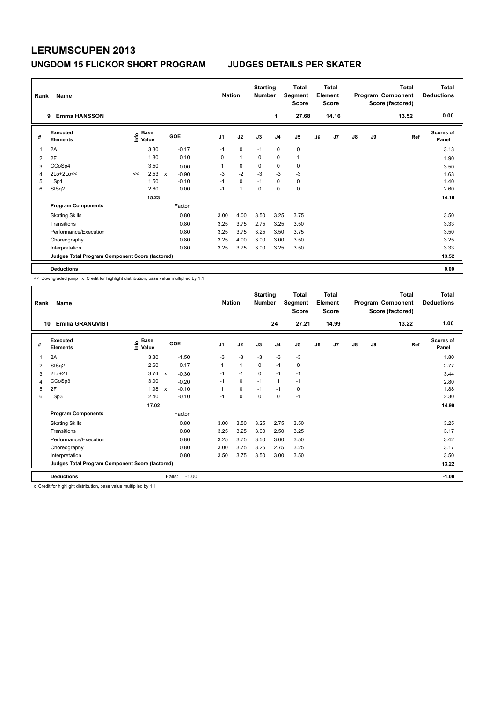| Rank | Name                                            |      |                      |             |            |                | <b>Nation</b> | <b>Starting</b><br><b>Number</b> |                | Total<br>Segment<br><b>Score</b> |    | <b>Total</b><br>Element<br><b>Score</b> |               |    | <b>Total</b><br>Program Component<br>Score (factored) | <b>Total</b><br><b>Deductions</b> |
|------|-------------------------------------------------|------|----------------------|-------------|------------|----------------|---------------|----------------------------------|----------------|----------------------------------|----|-----------------------------------------|---------------|----|-------------------------------------------------------|-----------------------------------|
|      | <b>Emma HANSSON</b><br>9                        |      |                      |             |            |                |               |                                  | 1              | 27.68                            |    | 14.16                                   |               |    | 13.52                                                 | 0.00                              |
| #    | <b>Executed</b><br><b>Elements</b>              | lnfo | <b>Base</b><br>Value |             | <b>GOE</b> | J <sub>1</sub> | J2            | J3                               | J <sub>4</sub> | J5                               | J6 | J7                                      | $\mathsf{J}8$ | J9 | Ref                                                   | <b>Scores of</b><br>Panel         |
|      | 2A                                              |      | 3.30                 |             | $-0.17$    | $-1$           | 0             | $-1$                             | 0              | $\pmb{0}$                        |    |                                         |               |    |                                                       | 3.13                              |
| 2    | 2F                                              |      | 1.80                 |             | 0.10       | 0              | $\mathbf{1}$  | 0                                | $\mathbf 0$    | $\mathbf{1}$                     |    |                                         |               |    |                                                       | 1.90                              |
| 3    | CCoSp4                                          |      | 3.50                 |             | 0.00       | 1              | 0             | 0                                | 0              | 0                                |    |                                         |               |    |                                                       | 3.50                              |
| 4    | $2Lo+2Lo<<$                                     | <<   | 2.53                 | $\mathbf x$ | $-0.90$    | $-3$           | $-2$          | $-3$                             | $-3$           | $-3$                             |    |                                         |               |    |                                                       | 1.63                              |
| 5    | LSp1                                            |      | 1.50                 |             | $-0.10$    | $-1$           | $\mathbf 0$   | $-1$                             | $\mathbf 0$    | $\pmb{0}$                        |    |                                         |               |    |                                                       | 1.40                              |
| 6    | StSq2                                           |      | 2.60                 |             | 0.00       | $-1$           | 1             | $\mathbf 0$                      | 0              | $\pmb{0}$                        |    |                                         |               |    |                                                       | 2.60                              |
|      |                                                 |      | 15.23                |             |            |                |               |                                  |                |                                  |    |                                         |               |    |                                                       | 14.16                             |
|      | <b>Program Components</b>                       |      |                      |             | Factor     |                |               |                                  |                |                                  |    |                                         |               |    |                                                       |                                   |
|      | <b>Skating Skills</b>                           |      |                      |             | 0.80       | 3.00           | 4.00          | 3.50                             | 3.25           | 3.75                             |    |                                         |               |    |                                                       | 3.50                              |
|      | Transitions                                     |      |                      |             | 0.80       | 3.25           | 3.75          | 2.75                             | 3.25           | 3.50                             |    |                                         |               |    |                                                       | 3.33                              |
|      | Performance/Execution                           |      |                      |             | 0.80       | 3.25           | 3.75          | 3.25                             | 3.50           | 3.75                             |    |                                         |               |    |                                                       | 3.50                              |
|      | Choreography                                    |      |                      |             | 0.80       | 3.25           | 4.00          | 3.00                             | 3.00           | 3.50                             |    |                                         |               |    |                                                       | 3.25                              |
|      | Interpretation                                  |      |                      |             | 0.80       | 3.25           | 3.75          | 3.00                             | 3.25           | 3.50                             |    |                                         |               |    |                                                       | 3.33                              |
|      | Judges Total Program Component Score (factored) |      |                      |             |            |                |               |                                  |                |                                  |    |                                         |               |    |                                                       | 13.52                             |
|      | <b>Deductions</b>                               |      |                      |             |            |                |               |                                  |                |                                  |    |                                         |               |    |                                                       | 0.00                              |

<< Downgraded jump x Credit for highlight distribution, base value multiplied by 1.1

| Rank | Name                                            |                        |                         | <b>Nation</b>  |              | <b>Starting</b><br><b>Number</b> |                | Total<br>Segment<br><b>Score</b> |    | <b>Total</b><br>Element<br><b>Score</b> |               |    | <b>Total</b><br>Program Component<br>Score (factored) | <b>Total</b><br><b>Deductions</b> |
|------|-------------------------------------------------|------------------------|-------------------------|----------------|--------------|----------------------------------|----------------|----------------------------------|----|-----------------------------------------|---------------|----|-------------------------------------------------------|-----------------------------------|
| 10   | <b>Emilia GRANQVIST</b>                         |                        |                         |                |              |                                  | 24             | 27.21                            |    | 14.99                                   |               |    | 13.22                                                 | 1.00                              |
| #    | Executed<br><b>Elements</b>                     | $\sum_{i=1}^{n}$ Value | GOE                     | J <sub>1</sub> | J2           | J3                               | J <sub>4</sub> | J <sub>5</sub>                   | J6 | J7                                      | $\mathsf{J}8$ | J9 | Ref                                                   | <b>Scores of</b><br>Panel         |
| 1    | 2A                                              | 3.30                   | $-1.50$                 | $-3$           | $-3$         | $-3$                             | $-3$           | $-3$                             |    |                                         |               |    |                                                       | 1.80                              |
| 2    | StSq2                                           | 2.60                   | 0.17                    | 1              | $\mathbf{1}$ | $\mathbf 0$                      | $-1$           | 0                                |    |                                         |               |    |                                                       | 2.77                              |
| 3    | $2Lz+2T$                                        | 3.74                   | $\mathsf{x}$<br>$-0.30$ | $-1$           | $-1$         | 0                                | $-1$           | $-1$                             |    |                                         |               |    |                                                       | 3.44                              |
| 4    | CCoSp3                                          | 3.00                   | $-0.20$                 | $-1$           | 0            | $-1$                             | $\mathbf{1}$   | $-1$                             |    |                                         |               |    |                                                       | 2.80                              |
| 5    | 2F                                              | 1.98                   | $-0.10$<br>$\mathsf{x}$ | 1              | 0            | $-1$                             | $-1$           | 0                                |    |                                         |               |    |                                                       | 1.88                              |
| 6    | LSp3                                            | 2.40                   | $-0.10$                 | $-1$           | $\pmb{0}$    | 0                                | 0              | $-1$                             |    |                                         |               |    |                                                       | 2.30                              |
|      |                                                 | 17.02                  |                         |                |              |                                  |                |                                  |    |                                         |               |    |                                                       | 14.99                             |
|      | <b>Program Components</b>                       |                        | Factor                  |                |              |                                  |                |                                  |    |                                         |               |    |                                                       |                                   |
|      | <b>Skating Skills</b>                           |                        | 0.80                    | 3.00           | 3.50         | 3.25                             | 2.75           | 3.50                             |    |                                         |               |    |                                                       | 3.25                              |
|      | Transitions                                     |                        | 0.80                    | 3.25           | 3.25         | 3.00                             | 2.50           | 3.25                             |    |                                         |               |    |                                                       | 3.17                              |
|      | Performance/Execution                           |                        | 0.80                    | 3.25           | 3.75         | 3.50                             | 3.00           | 3.50                             |    |                                         |               |    |                                                       | 3.42                              |
|      | Choreography                                    |                        | 0.80                    | 3.00           | 3.75         | 3.25                             | 2.75           | 3.25                             |    |                                         |               |    |                                                       | 3.17                              |
|      | Interpretation                                  |                        | 0.80                    | 3.50           | 3.75         | 3.50                             | 3.00           | 3.50                             |    |                                         |               |    |                                                       | 3.50                              |
|      | Judges Total Program Component Score (factored) |                        |                         |                |              |                                  |                |                                  |    |                                         |               |    |                                                       | 13.22                             |
|      | <b>Deductions</b>                               |                        | $-1.00$<br>Falls:       |                |              |                                  |                |                                  |    |                                         |               |    |                                                       | $-1.00$                           |

x Credit for highlight distribution, base value multiplied by 1.1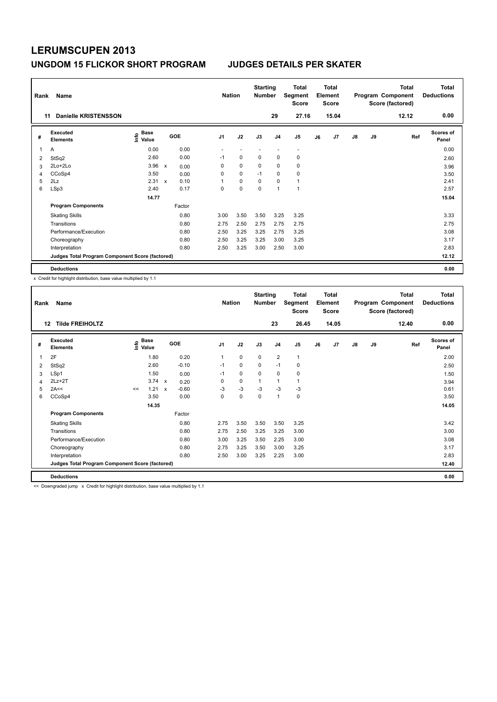| Rank | Name                                            |                              |                           |        | <b>Nation</b>            |             | <b>Starting</b><br><b>Number</b> |                | <b>Total</b><br>Segment<br><b>Score</b> |    | <b>Total</b><br>Element<br><b>Score</b> |               |    | Total<br>Program Component<br>Score (factored) | Total<br><b>Deductions</b> |
|------|-------------------------------------------------|------------------------------|---------------------------|--------|--------------------------|-------------|----------------------------------|----------------|-----------------------------------------|----|-----------------------------------------|---------------|----|------------------------------------------------|----------------------------|
| 11   | Danielle KRISTENSSON                            |                              |                           |        |                          |             |                                  | 29             | 27.16                                   |    | 15.04                                   |               |    | 12.12                                          | 0.00                       |
| #    | <b>Executed</b><br><b>Elements</b>              | <b>Base</b><br>١nfo<br>Value |                           | GOE    | J <sub>1</sub>           | J2          | J3                               | J <sub>4</sub> | J5                                      | J6 | J7                                      | $\mathsf{J}8$ | J9 | Ref                                            | <b>Scores of</b><br>Panel  |
| 1    | A                                               | 0.00                         |                           | 0.00   | $\overline{\phantom{a}}$ | ٠           | $\overline{\phantom{a}}$         | ٠              | $\overline{\phantom{a}}$                |    |                                         |               |    |                                                | 0.00                       |
| 2    | StSq2                                           | 2.60                         |                           | 0.00   | $-1$                     | 0           | 0                                | 0              | 0                                       |    |                                         |               |    |                                                | 2.60                       |
| 3    | 2Lo+2Lo                                         | 3.96                         | $\boldsymbol{\mathsf{x}}$ | 0.00   | 0                        | $\mathbf 0$ | 0                                | 0              | 0                                       |    |                                         |               |    |                                                | 3.96                       |
| 4    | CCoSp4                                          | 3.50                         |                           | 0.00   | 0                        | $\mathbf 0$ | $-1$                             | $\mathbf 0$    | $\mathbf 0$                             |    |                                         |               |    |                                                | 3.50                       |
| 5    | 2Lz                                             | 2.31                         | $\mathbf x$               | 0.10   | 1                        | $\mathbf 0$ | 0                                | $\mathbf 0$    | $\mathbf{1}$                            |    |                                         |               |    |                                                | 2.41                       |
| 6    | LSp3                                            | 2.40                         |                           | 0.17   | 0                        | $\Omega$    | $\mathbf 0$                      | 1              | $\overline{1}$                          |    |                                         |               |    |                                                | 2.57                       |
|      |                                                 | 14.77                        |                           |        |                          |             |                                  |                |                                         |    |                                         |               |    |                                                | 15.04                      |
|      | <b>Program Components</b>                       |                              |                           | Factor |                          |             |                                  |                |                                         |    |                                         |               |    |                                                |                            |
|      | <b>Skating Skills</b>                           |                              |                           | 0.80   | 3.00                     | 3.50        | 3.50                             | 3.25           | 3.25                                    |    |                                         |               |    |                                                | 3.33                       |
|      | Transitions                                     |                              |                           | 0.80   | 2.75                     | 2.50        | 2.75                             | 2.75           | 2.75                                    |    |                                         |               |    |                                                | 2.75                       |
|      | Performance/Execution                           |                              |                           | 0.80   | 2.50                     | 3.25        | 3.25                             | 2.75           | 3.25                                    |    |                                         |               |    |                                                | 3.08                       |
|      | Choreography                                    |                              |                           | 0.80   | 2.50                     | 3.25        | 3.25                             | 3.00           | 3.25                                    |    |                                         |               |    |                                                | 3.17                       |
|      | Interpretation                                  |                              |                           | 0.80   | 2.50                     | 3.25        | 3.00                             | 2.50           | 3.00                                    |    |                                         |               |    |                                                | 2.83                       |
|      | Judges Total Program Component Score (factored) |                              |                           |        |                          |             |                                  |                |                                         |    |                                         |               |    |                                                | 12.12                      |
|      | <b>Deductions</b>                               |                              |                           |        |                          |             |                                  |                |                                         |    |                                         |               |    |                                                | 0.00                       |

x Credit for highlight distribution, base value multiplied by 1.1

| Rank | Name                                            |    |                                                                                        |              |         |                | <b>Nation</b> | <b>Starting</b><br><b>Number</b> |                | <b>Total</b><br>Segment<br><b>Score</b> |    | <b>Total</b><br>Element<br><b>Score</b> |               |    | <b>Total</b><br>Program Component<br>Score (factored) | Total<br><b>Deductions</b> |
|------|-------------------------------------------------|----|----------------------------------------------------------------------------------------|--------------|---------|----------------|---------------|----------------------------------|----------------|-----------------------------------------|----|-----------------------------------------|---------------|----|-------------------------------------------------------|----------------------------|
| 12   | <b>Tilde FREIHOLTZ</b>                          |    |                                                                                        |              |         |                |               |                                  | 23             | 26.45                                   |    | 14.05                                   |               |    | 12.40                                                 | 0.00                       |
| #    | Executed<br><b>Elements</b>                     |    | $\overset{\circ}{\text{\sf E}}$ Base<br>$\overset{\circ}{\text{\sf E}}$ Value<br>Value |              | GOE     | J <sub>1</sub> | J2            | J3                               | J <sub>4</sub> | J <sub>5</sub>                          | J6 | J7                                      | $\mathsf{J}8$ | J9 | Ref                                                   | <b>Scores of</b><br>Panel  |
| 1    | 2F                                              |    | 1.80                                                                                   |              | 0.20    | $\overline{1}$ | 0             | 0                                | $\overline{2}$ | $\mathbf{1}$                            |    |                                         |               |    |                                                       | 2.00                       |
| 2    | StSq2                                           |    | 2.60                                                                                   |              | $-0.10$ | $-1$           | 0             | 0                                | $-1$           | 0                                       |    |                                         |               |    |                                                       | 2.50                       |
| 3    | LSp1                                            |    | 1.50                                                                                   |              | 0.00    | $-1$           | 0             | 0                                | $\mathbf 0$    | 0                                       |    |                                         |               |    |                                                       | 1.50                       |
| 4    | $2Lz + 2T$                                      |    | $3.74 \times$                                                                          |              | 0.20    | 0              | 0             | $\mathbf{1}$                     | 1              | 1                                       |    |                                         |               |    |                                                       | 3.94                       |
| 5    | 2A<<                                            | << | 1.21                                                                                   | $\mathbf{x}$ | $-0.60$ | $-3$           | $-3$          | $-3$                             | $-3$           | $-3$                                    |    |                                         |               |    |                                                       | 0.61                       |
| 6    | CCoSp4                                          |    | 3.50                                                                                   |              | 0.00    | 0              | 0             | 0                                | 1              | 0                                       |    |                                         |               |    |                                                       | 3.50                       |
|      |                                                 |    | 14.35                                                                                  |              |         |                |               |                                  |                |                                         |    |                                         |               |    |                                                       | 14.05                      |
|      | <b>Program Components</b>                       |    |                                                                                        |              | Factor  |                |               |                                  |                |                                         |    |                                         |               |    |                                                       |                            |
|      | <b>Skating Skills</b>                           |    |                                                                                        |              | 0.80    | 2.75           | 3.50          | 3.50                             | 3.50           | 3.25                                    |    |                                         |               |    |                                                       | 3.42                       |
|      | Transitions                                     |    |                                                                                        |              | 0.80    | 2.75           | 2.50          | 3.25                             | 3.25           | 3.00                                    |    |                                         |               |    |                                                       | 3.00                       |
|      | Performance/Execution                           |    |                                                                                        |              | 0.80    | 3.00           | 3.25          | 3.50                             | 2.25           | 3.00                                    |    |                                         |               |    |                                                       | 3.08                       |
|      | Choreography                                    |    |                                                                                        |              | 0.80    | 2.75           | 3.25          | 3.50                             | 3.00           | 3.25                                    |    |                                         |               |    |                                                       | 3.17                       |
|      | Interpretation                                  |    |                                                                                        |              | 0.80    | 2.50           | 3.00          | 3.25                             | 2.25           | 3.00                                    |    |                                         |               |    |                                                       | 2.83                       |
|      | Judges Total Program Component Score (factored) |    |                                                                                        |              |         |                |               |                                  |                |                                         |    |                                         |               |    |                                                       | 12.40                      |
|      | <b>Deductions</b>                               |    |                                                                                        |              |         |                |               |                                  |                |                                         |    |                                         |               |    |                                                       | 0.00                       |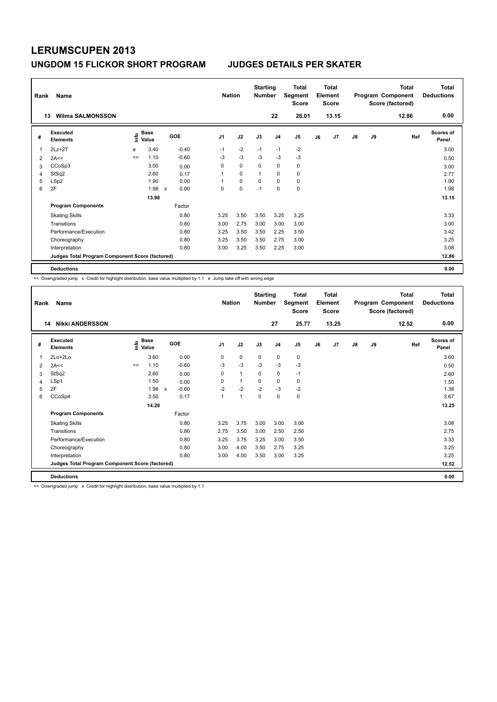| Rank | Name                                            |      |               |                           |            |                | <b>Nation</b> |             | <b>Starting</b><br><b>Number</b> |                | <b>Total</b><br>Segment<br><b>Score</b> |    | <b>Total</b><br>Element<br><b>Score</b> |               |    | <b>Total</b><br>Program Component<br>Score (factored) | <b>Total</b><br><b>Deductions</b> |
|------|-------------------------------------------------|------|---------------|---------------------------|------------|----------------|---------------|-------------|----------------------------------|----------------|-----------------------------------------|----|-----------------------------------------|---------------|----|-------------------------------------------------------|-----------------------------------|
|      | <b>Wilma SALMONSSON</b><br>13                   |      |               |                           |            |                |               |             |                                  | 22             | 26.01                                   |    | 13.15                                   |               |    | 12.86                                                 | 0.00                              |
| #    | Executed<br><b>Elements</b>                     | lnfo | Base<br>Value |                           | <b>GOE</b> | J <sub>1</sub> |               | J2          | J3                               | J <sub>4</sub> | J <sub>5</sub>                          | J6 | J7                                      | $\mathsf{J}8$ | J9 | Ref                                                   | <b>Scores of</b><br>Panel         |
| 1    | $2Lz+2T$                                        | e    | 3.40          |                           | $-0.40$    | $-1$           |               | $-2$        | $-1$                             | $-1$           | $-2$                                    |    |                                         |               |    |                                                       | 3.00                              |
| 2    | 2A<<                                            | <<   | 1.10          |                           | $-0.60$    | $-3$           |               | $-3$        | $-3$                             | $-3$           | $-3$                                    |    |                                         |               |    |                                                       | 0.50                              |
| 3    | CCoSp3                                          |      | 3.00          |                           | 0.00       | 0              |               | $\mathbf 0$ | 0                                | $\mathbf 0$    | $\pmb{0}$                               |    |                                         |               |    |                                                       | 3.00                              |
| 4    | StSq2                                           |      | 2.60          |                           | 0.17       | 1              |               | $\mathbf 0$ | 1                                | 0              | $\pmb{0}$                               |    |                                         |               |    |                                                       | 2.77                              |
| 5    | LSp2                                            |      | 1.90          |                           | 0.00       | 1              |               | $\mathbf 0$ | 0                                | $\mathbf 0$    | $\pmb{0}$                               |    |                                         |               |    |                                                       | 1.90                              |
| 6    | 2F                                              |      | 1.98          | $\boldsymbol{\mathsf{x}}$ | 0.00       | 0              |               | 0           | $-1$                             | 0              | 0                                       |    |                                         |               |    |                                                       | 1.98                              |
|      |                                                 |      | 13.98         |                           |            |                |               |             |                                  |                |                                         |    |                                         |               |    |                                                       | 13.15                             |
|      | <b>Program Components</b>                       |      |               |                           | Factor     |                |               |             |                                  |                |                                         |    |                                         |               |    |                                                       |                                   |
|      | <b>Skating Skills</b>                           |      |               |                           | 0.80       | 3.25           |               | 3.50        | 3.50                             | 3.25           | 3.25                                    |    |                                         |               |    |                                                       | 3.33                              |
|      | Transitions                                     |      |               |                           | 0.80       | 3.00           |               | 2.75        | 3.00                             | 3.00           | 3.00                                    |    |                                         |               |    |                                                       | 3.00                              |
|      | Performance/Execution                           |      |               |                           | 0.80       | 3.25           |               | 3.50        | 3.50                             | 2.25           | 3.50                                    |    |                                         |               |    |                                                       | 3.42                              |
|      | Choreography                                    |      |               |                           | 0.80       | 3.25           |               | 3.50        | 3.50                             | 2.75           | 3.00                                    |    |                                         |               |    |                                                       | 3.25                              |
|      | Interpretation                                  |      |               |                           | 0.80       | 3.00           |               | 3.25        | 3.50                             | 2.25           | 3.00                                    |    |                                         |               |    |                                                       | 3.08                              |
|      | Judges Total Program Component Score (factored) |      |               |                           |            |                |               |             |                                  |                |                                         |    |                                         |               |    |                                                       | 12.86                             |
|      | <b>Deductions</b>                               |      |               |                           |            |                |               |             |                                  |                |                                         |    |                                         |               |    |                                                       | 0.00                              |

<< Downgraded jump x Credit for highlight distribution, base value multiplied by 1.1 e Jump take off with wrong edge

| Rank | Name                                            |    |                      |                                      |                | <b>Nation</b> | <b>Starting</b><br><b>Number</b> |                | <b>Total</b><br>Segment<br><b>Score</b> |    | <b>Total</b><br>Element<br><b>Score</b> |               |    | <b>Total</b><br>Program Component<br>Score (factored) | <b>Total</b><br><b>Deductions</b> |
|------|-------------------------------------------------|----|----------------------|--------------------------------------|----------------|---------------|----------------------------------|----------------|-----------------------------------------|----|-----------------------------------------|---------------|----|-------------------------------------------------------|-----------------------------------|
|      | <b>Nikki ANDERSSON</b><br>14                    |    |                      |                                      |                |               |                                  | 27             | 25.77                                   |    | 13.25                                   |               |    | 12.52                                                 | 0.00                              |
| #    | Executed<br><b>Elements</b>                     | ١m | <b>Base</b><br>Value | <b>GOE</b>                           | J <sub>1</sub> | J2            | J3                               | J <sub>4</sub> | J5                                      | J6 | J7                                      | $\mathsf{J}8$ | J9 | Ref                                                   | <b>Scores of</b><br>Panel         |
| 1    | $2Lo+2Lo$                                       |    | 3.60                 | 0.00                                 | 0              | $\mathbf 0$   | $\mathbf 0$                      | $\mathbf 0$    | 0                                       |    |                                         |               |    |                                                       | 3.60                              |
| 2    | 2A<<                                            | << | 1.10                 | $-0.60$                              | -3             | $-3$          | $-3$                             | $-3$           | $-3$                                    |    |                                         |               |    |                                                       | 0.50                              |
| 3    | StSq2                                           |    | 2.60                 | 0.00                                 | 0              | $\mathbf{1}$  | 0                                | 0              | $-1$                                    |    |                                         |               |    |                                                       | 2.60                              |
| 4    | LSp1                                            |    | 1.50                 | 0.00                                 | $\Omega$       | $\mathbf{1}$  | $\Omega$                         | 0              | 0                                       |    |                                         |               |    |                                                       | 1.50                              |
| 5    | 2F                                              |    | 1.98                 | $-0.60$<br>$\boldsymbol{\mathsf{x}}$ | $-2$           | $-2$          | $-2$                             | $-3$           | $-2$                                    |    |                                         |               |    |                                                       | 1.38                              |
| 6    | CCoSp4                                          |    | 3.50                 | 0.17                                 | 1              | $\mathbf{1}$  | $\Omega$                         | $\mathbf 0$    | 0                                       |    |                                         |               |    |                                                       | 3.67                              |
|      |                                                 |    | 14.28                |                                      |                |               |                                  |                |                                         |    |                                         |               |    |                                                       | 13.25                             |
|      | <b>Program Components</b>                       |    |                      | Factor                               |                |               |                                  |                |                                         |    |                                         |               |    |                                                       |                                   |
|      | <b>Skating Skills</b>                           |    |                      | 0.80                                 | 3.25           | 3.75          | 3.00                             | 3.00           | 3.00                                    |    |                                         |               |    |                                                       | 3.08                              |
|      | Transitions                                     |    |                      | 0.80                                 | 2.75           | 3.50          | 3.00                             | 2.50           | 2.50                                    |    |                                         |               |    |                                                       | 2.75                              |
|      | Performance/Execution                           |    |                      | 0.80                                 | 3.25           | 3.75          | 3.25                             | 3.00           | 3.50                                    |    |                                         |               |    |                                                       | 3.33                              |
|      | Choreography                                    |    |                      | 0.80                                 | 3.00           | 4.00          | 3.50                             | 2.75           | 3.25                                    |    |                                         |               |    |                                                       | 3.25                              |
|      | Interpretation                                  |    |                      | 0.80                                 | 3.00           | 4.00          | 3.50                             | 3.00           | 3.25                                    |    |                                         |               |    |                                                       | 3.25                              |
|      | Judges Total Program Component Score (factored) |    |                      |                                      |                |               |                                  |                |                                         |    |                                         |               |    |                                                       | 12.52                             |
|      | <b>Deductions</b>                               |    |                      |                                      |                |               |                                  |                |                                         |    |                                         |               |    |                                                       | 0.00                              |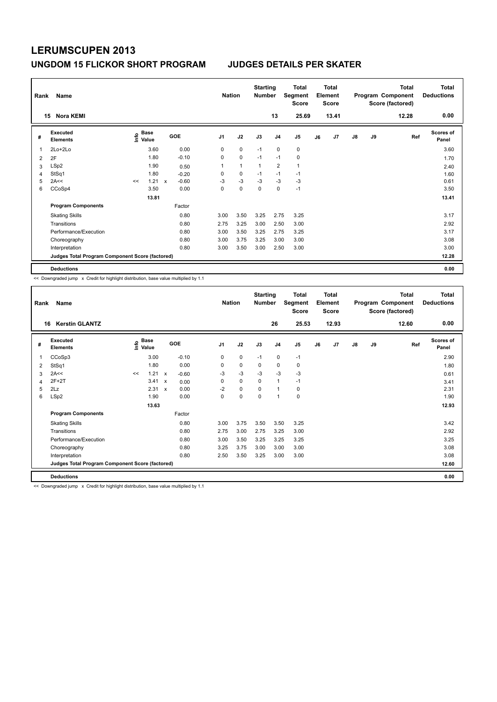| Rank | Name                                            |                   |       |              |         |      | <b>Nation</b> |             | <b>Starting</b><br><b>Number</b> |                | Total<br>Segment<br><b>Score</b> |    | <b>Total</b><br>Element<br><b>Score</b> |               |    | <b>Total</b><br>Program Component<br>Score (factored) | Total<br><b>Deductions</b> |
|------|-------------------------------------------------|-------------------|-------|--------------|---------|------|---------------|-------------|----------------------------------|----------------|----------------------------------|----|-----------------------------------------|---------------|----|-------------------------------------------------------|----------------------------|
|      | <b>Nora KEMI</b><br>15                          |                   |       |              |         |      |               |             |                                  | 13             | 25.69                            |    | 13.41                                   |               |    | 12.28                                                 | 0.00                       |
| #    | Executed<br><b>Elements</b>                     | e Base<br>⊆ Value | Base  |              | GOE     | J1   |               | J2          | J3                               | J <sub>4</sub> | J <sub>5</sub>                   | J6 | J7                                      | $\mathsf{J}8$ | J9 | Ref                                                   | <b>Scores of</b><br>Panel  |
|      | 2Lo+2Lo                                         |                   | 3.60  |              | 0.00    | 0    |               | $\mathbf 0$ | $-1$                             | $\mathbf 0$    | 0                                |    |                                         |               |    |                                                       | 3.60                       |
| 2    | 2F                                              |                   | 1.80  |              | $-0.10$ | 0    |               | $\mathbf 0$ | $-1$                             | $-1$           | $\mathbf 0$                      |    |                                         |               |    |                                                       | 1.70                       |
| 3    | LSp2                                            |                   | 1.90  |              | 0.50    | 1    |               | 1           | $\mathbf{1}$                     | 2              | $\mathbf{1}$                     |    |                                         |               |    |                                                       | 2.40                       |
| 4    | StSq1                                           |                   | 1.80  |              | $-0.20$ | 0    |               | 0           | $-1$                             | $-1$           | $-1$                             |    |                                         |               |    |                                                       | 1.60                       |
| 5    | 2A<<                                            | <<                | 1.21  | $\mathsf{x}$ | $-0.60$ | $-3$ |               | $-3$        | $-3$                             | $-3$           | $-3$                             |    |                                         |               |    |                                                       | 0.61                       |
| 6    | CCoSp4                                          |                   | 3.50  |              | 0.00    | 0    |               | $\mathbf 0$ | $\mathbf 0$                      | 0              | $-1$                             |    |                                         |               |    |                                                       | 3.50                       |
|      |                                                 |                   | 13.81 |              |         |      |               |             |                                  |                |                                  |    |                                         |               |    |                                                       | 13.41                      |
|      | <b>Program Components</b>                       |                   |       |              | Factor  |      |               |             |                                  |                |                                  |    |                                         |               |    |                                                       |                            |
|      | <b>Skating Skills</b>                           |                   |       |              | 0.80    | 3.00 |               | 3.50        | 3.25                             | 2.75           | 3.25                             |    |                                         |               |    |                                                       | 3.17                       |
|      | Transitions                                     |                   |       |              | 0.80    | 2.75 |               | 3.25        | 3.00                             | 2.50           | 3.00                             |    |                                         |               |    |                                                       | 2.92                       |
|      | Performance/Execution                           |                   |       |              | 0.80    | 3.00 |               | 3.50        | 3.25                             | 2.75           | 3.25                             |    |                                         |               |    |                                                       | 3.17                       |
|      | Choreography                                    |                   |       |              | 0.80    | 3.00 |               | 3.75        | 3.25                             | 3.00           | 3.00                             |    |                                         |               |    |                                                       | 3.08                       |
|      | Interpretation                                  |                   |       |              | 0.80    | 3.00 |               | 3.50        | 3.00                             | 2.50           | 3.00                             |    |                                         |               |    |                                                       | 3.00                       |
|      | Judges Total Program Component Score (factored) |                   |       |              |         |      |               |             |                                  |                |                                  |    |                                         |               |    |                                                       | 12.28                      |
|      | <b>Deductions</b>                               |                   |       |              |         |      |               |             |                                  |                |                                  |    |                                         |               |    |                                                       | 0.00                       |

<< Downgraded jump x Credit for highlight distribution, base value multiplied by 1.1

| Rank | Name                                            |    |                                       |                           |            | <b>Nation</b>  |             | <b>Starting</b><br><b>Number</b> |                | <b>Total</b><br>Segment<br><b>Score</b> |    | <b>Total</b><br>Element<br><b>Score</b> |               |    | <b>Total</b><br>Program Component<br>Score (factored) | <b>Total</b><br><b>Deductions</b> |
|------|-------------------------------------------------|----|---------------------------------------|---------------------------|------------|----------------|-------------|----------------------------------|----------------|-----------------------------------------|----|-----------------------------------------|---------------|----|-------------------------------------------------------|-----------------------------------|
| 16   | <b>Kerstin GLANTZ</b>                           |    |                                       |                           |            |                |             |                                  | 26             | 25.53                                   |    | 12.93                                   |               |    | 12.60                                                 | 0.00                              |
| #    | Executed<br><b>Elements</b>                     |    | <b>Base</b><br>$\sum_{i=1}^{6}$ Value |                           | <b>GOE</b> | J <sub>1</sub> | J2          | J3                               | J <sub>4</sub> | J5                                      | J6 | J7                                      | $\mathsf{J}8$ | J9 | Ref                                                   | <b>Scores of</b><br>Panel         |
| 1    | CCoSp3                                          |    | 3.00                                  |                           | $-0.10$    | 0              | $\mathbf 0$ | $-1$                             | 0              | $-1$                                    |    |                                         |               |    |                                                       | 2.90                              |
| 2    | StSq1                                           |    | 1.80                                  |                           | 0.00       | 0              | $\pmb{0}$   | 0                                | 0              | 0                                       |    |                                         |               |    |                                                       | 1.80                              |
| 3    | 2A<<                                            | << | 1.21                                  | $\mathsf{x}$              | $-0.60$    | $-3$           | $-3$        | $-3$                             | $-3$           | $-3$                                    |    |                                         |               |    |                                                       | 0.61                              |
| 4    | $2F+2T$                                         |    | 3.41                                  | $\mathsf{x}$              | 0.00       | 0              | $\mathbf 0$ | $\mathbf 0$                      | $\mathbf{1}$   | $-1$                                    |    |                                         |               |    |                                                       | 3.41                              |
| 5    | 2Lz                                             |    | 2.31                                  | $\boldsymbol{\mathsf{x}}$ | 0.00       | $-2$           | $\mathbf 0$ | $\mathbf 0$                      | $\mathbf{1}$   | 0                                       |    |                                         |               |    |                                                       | 2.31                              |
| 6    | LSp2                                            |    | 1.90                                  |                           | 0.00       | 0              | $\mathbf 0$ | $\mathbf 0$                      | $\mathbf{1}$   | 0                                       |    |                                         |               |    |                                                       | 1.90                              |
|      |                                                 |    | 13.63                                 |                           |            |                |             |                                  |                |                                         |    |                                         |               |    |                                                       | 12.93                             |
|      | <b>Program Components</b>                       |    |                                       |                           | Factor     |                |             |                                  |                |                                         |    |                                         |               |    |                                                       |                                   |
|      | <b>Skating Skills</b>                           |    |                                       |                           | 0.80       | 3.00           | 3.75        | 3.50                             | 3.50           | 3.25                                    |    |                                         |               |    |                                                       | 3.42                              |
|      | Transitions                                     |    |                                       |                           | 0.80       | 2.75           | 3.00        | 2.75                             | 3.25           | 3.00                                    |    |                                         |               |    |                                                       | 2.92                              |
|      | Performance/Execution                           |    |                                       |                           | 0.80       | 3.00           | 3.50        | 3.25                             | 3.25           | 3.25                                    |    |                                         |               |    |                                                       | 3.25                              |
|      | Choreography                                    |    |                                       |                           | 0.80       | 3.25           | 3.75        | 3.00                             | 3.00           | 3.00                                    |    |                                         |               |    |                                                       | 3.08                              |
|      | Interpretation                                  |    |                                       |                           | 0.80       | 2.50           | 3.50        | 3.25                             | 3.00           | 3.00                                    |    |                                         |               |    |                                                       | 3.08                              |
|      | Judges Total Program Component Score (factored) |    |                                       |                           |            |                |             |                                  |                |                                         |    |                                         |               |    |                                                       | 12.60                             |
|      | <b>Deductions</b>                               |    |                                       |                           |            |                |             |                                  |                |                                         |    |                                         |               |    |                                                       | 0.00                              |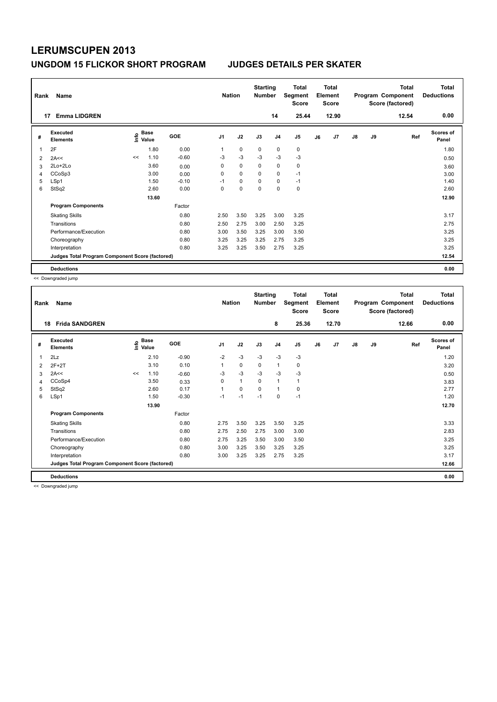| Rank           | Name                                            |    |                                  |         | <b>Nation</b> |             | <b>Starting</b><br><b>Number</b> |                | Total<br>Segment<br><b>Score</b> |    | <b>Total</b><br>Element<br><b>Score</b> |               |    | <b>Total</b><br>Program Component<br>Score (factored) | <b>Total</b><br><b>Deductions</b> |
|----------------|-------------------------------------------------|----|----------------------------------|---------|---------------|-------------|----------------------------------|----------------|----------------------------------|----|-----------------------------------------|---------------|----|-------------------------------------------------------|-----------------------------------|
|                | <b>Emma LIDGREN</b><br>17                       |    |                                  |         |               |             |                                  | 14             | 25.44                            |    | 12.90                                   |               |    | 12.54                                                 | 0.00                              |
| #              | Executed<br><b>Elements</b>                     |    | <b>Base</b><br>e Base<br>⊆ Value | GOE     | J1            | J2          | J3                               | J <sub>4</sub> | J <sub>5</sub>                   | J6 | J7                                      | $\mathsf{J}8$ | J9 | Ref                                                   | <b>Scores of</b><br>Panel         |
|                | 2F                                              |    | 1.80                             | 0.00    | 1             | $\mathbf 0$ | 0                                | $\mathbf 0$    | 0                                |    |                                         |               |    |                                                       | 1.80                              |
| $\overline{2}$ | 2A<<                                            | << | 1.10                             | $-0.60$ | $-3$          | $-3$        | $-3$                             | $-3$           | $-3$                             |    |                                         |               |    |                                                       | 0.50                              |
| 3              | $2Lo+2Lo$                                       |    | 3.60                             | 0.00    | 0             | 0           | 0                                | $\mathbf 0$    | 0                                |    |                                         |               |    |                                                       | 3.60                              |
| 4              | CCoSp3                                          |    | 3.00                             | 0.00    | 0             | $\mathbf 0$ | $\Omega$                         | 0              | $-1$                             |    |                                         |               |    |                                                       | 3.00                              |
| 5              | LSp1                                            |    | 1.50                             | $-0.10$ | $-1$          | $\mathbf 0$ | $\Omega$                         | $\mathbf 0$    | $-1$                             |    |                                         |               |    |                                                       | 1.40                              |
| 6              | StSq2                                           |    | 2.60                             | 0.00    | 0             | 0           | $\mathbf 0$                      | $\mathbf 0$    | $\mathbf 0$                      |    |                                         |               |    |                                                       | 2.60                              |
|                |                                                 |    | 13.60                            |         |               |             |                                  |                |                                  |    |                                         |               |    |                                                       | 12.90                             |
|                | <b>Program Components</b>                       |    |                                  | Factor  |               |             |                                  |                |                                  |    |                                         |               |    |                                                       |                                   |
|                | <b>Skating Skills</b>                           |    |                                  | 0.80    | 2.50          | 3.50        | 3.25                             | 3.00           | 3.25                             |    |                                         |               |    |                                                       | 3.17                              |
|                | Transitions                                     |    |                                  | 0.80    | 2.50          | 2.75        | 3.00                             | 2.50           | 3.25                             |    |                                         |               |    |                                                       | 2.75                              |
|                | Performance/Execution                           |    |                                  | 0.80    | 3.00          | 3.50        | 3.25                             | 3.00           | 3.50                             |    |                                         |               |    |                                                       | 3.25                              |
|                | Choreography                                    |    |                                  | 0.80    | 3.25          | 3.25        | 3.25                             | 2.75           | 3.25                             |    |                                         |               |    |                                                       | 3.25                              |
|                | Interpretation                                  |    |                                  | 0.80    | 3.25          | 3.25        | 3.50                             | 2.75           | 3.25                             |    |                                         |               |    |                                                       | 3.25                              |
|                | Judges Total Program Component Score (factored) |    |                                  |         |               |             |                                  |                |                                  |    |                                         |               |    |                                                       | 12.54                             |
|                | <b>Deductions</b>                               |    |                                  |         |               |             |                                  |                |                                  |    |                                         |               |    |                                                       | 0.00                              |

<< Downgraded jump

| Rank<br>18 | Name<br><b>Frida SANDGREN</b>                   |       |               |            | <b>Nation</b>  |              | <b>Starting</b><br><b>Number</b> | 8              | Total<br>Segment<br><b>Score</b><br>25.36 |    | <b>Total</b><br>Element<br><b>Score</b><br>12.70 |    |    | <b>Total</b><br>Program Component<br>Score (factored)<br>12.66 | Total<br><b>Deductions</b><br>0.00 |
|------------|-------------------------------------------------|-------|---------------|------------|----------------|--------------|----------------------------------|----------------|-------------------------------------------|----|--------------------------------------------------|----|----|----------------------------------------------------------------|------------------------------------|
| #          | Executed<br><b>Elements</b>                     | lnfo  | Base<br>Value | <b>GOE</b> | J <sub>1</sub> | J2           | J3                               | J <sub>4</sub> | J <sub>5</sub>                            | J6 | J7                                               | J8 | J9 | Ref                                                            | <b>Scores of</b><br>Panel          |
| 1          | 2Lz                                             |       | 2.10          | $-0.90$    | $-2$           | $-3$         | $-3$                             | $-3$           | $-3$                                      |    |                                                  |    |    |                                                                | 1.20                               |
| 2          | $2F+2T$                                         |       | 3.10          | 0.10       | 1              | 0            | 0                                | $\mathbf{1}$   | 0                                         |    |                                                  |    |    |                                                                | 3.20                               |
| 3          | 2A<<                                            | $\,<$ | 1.10          | $-0.60$    | $-3$           | $-3$         | $-3$                             | $-3$           | $-3$                                      |    |                                                  |    |    |                                                                | 0.50                               |
| 4          | CCoSp4                                          |       | 3.50          | 0.33       | 0              | $\mathbf{1}$ | 0                                | 1              | 1                                         |    |                                                  |    |    |                                                                | 3.83                               |
| 5          | StSq2                                           |       | 2.60          | 0.17       | $\overline{1}$ | 0            | 0                                | 1              | 0                                         |    |                                                  |    |    |                                                                | 2.77                               |
| 6          | LSp1                                            |       | 1.50          | $-0.30$    | $-1$           | $-1$         | $-1$                             | 0              | $-1$                                      |    |                                                  |    |    |                                                                | 1.20                               |
|            |                                                 |       | 13.90         |            |                |              |                                  |                |                                           |    |                                                  |    |    |                                                                | 12.70                              |
|            | <b>Program Components</b>                       |       |               | Factor     |                |              |                                  |                |                                           |    |                                                  |    |    |                                                                |                                    |
|            | <b>Skating Skills</b>                           |       |               | 0.80       | 2.75           | 3.50         | 3.25                             | 3.50           | 3.25                                      |    |                                                  |    |    |                                                                | 3.33                               |
|            | Transitions                                     |       |               | 0.80       | 2.75           | 2.50         | 2.75                             | 3.00           | 3.00                                      |    |                                                  |    |    |                                                                | 2.83                               |
|            | Performance/Execution                           |       |               | 0.80       | 2.75           | 3.25         | 3.50                             | 3.00           | 3.50                                      |    |                                                  |    |    |                                                                | 3.25                               |
|            | Choreography                                    |       |               | 0.80       | 3.00           | 3.25         | 3.50                             | 3.25           | 3.25                                      |    |                                                  |    |    |                                                                | 3.25                               |
|            | Interpretation                                  |       |               | 0.80       | 3.00           | 3.25         | 3.25                             | 2.75           | 3.25                                      |    |                                                  |    |    |                                                                | 3.17                               |
|            | Judges Total Program Component Score (factored) |       |               |            |                |              |                                  |                |                                           |    |                                                  |    |    |                                                                | 12.66                              |
|            | <b>Deductions</b>                               |       |               |            |                |              |                                  |                |                                           |    |                                                  |    |    |                                                                | 0.00                               |

<< Downgraded jump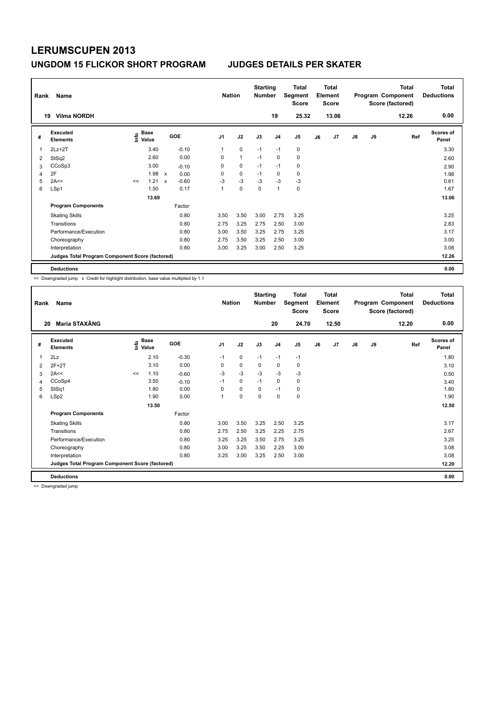| Rank | Name                                            |      |                      |             |         |                | <b>Nation</b> |              | <b>Starting</b><br><b>Number</b> |                | Total<br>Segment<br><b>Score</b> |    | <b>Total</b><br>Element<br><b>Score</b> |               |    | Total<br>Program Component<br>Score (factored) | <b>Total</b><br><b>Deductions</b> |
|------|-------------------------------------------------|------|----------------------|-------------|---------|----------------|---------------|--------------|----------------------------------|----------------|----------------------------------|----|-----------------------------------------|---------------|----|------------------------------------------------|-----------------------------------|
|      | <b>Vilma NORDH</b><br>19                        |      |                      |             |         |                |               |              |                                  | 19             | 25.32                            |    | 13.06                                   |               |    | 12.26                                          | 0.00                              |
| #    | <b>Executed</b><br><b>Elements</b>              | lnfo | <b>Base</b><br>Value |             | GOE     | J <sub>1</sub> |               | J2           | J3                               | J <sub>4</sub> | J5                               | J6 | J7                                      | $\mathsf{J}8$ | J9 | Ref                                            | <b>Scores of</b><br>Panel         |
|      | $2Lz + 2T$                                      |      | 3.40                 |             | $-0.10$ | 1              |               | $\mathbf 0$  | $-1$                             | $-1$           | $\mathbf 0$                      |    |                                         |               |    |                                                | 3.30                              |
| 2    | StSq2                                           |      | 2.60                 |             | 0.00    | 0              |               | $\mathbf{1}$ | $-1$                             | 0              | $\pmb{0}$                        |    |                                         |               |    |                                                | 2.60                              |
| 3    | CCoSp3                                          |      | 3.00                 |             | $-0.10$ | 0              |               | $\pmb{0}$    | $-1$                             | $-1$           | 0                                |    |                                         |               |    |                                                | 2.90                              |
| 4    | 2F                                              |      | 1.98                 | X           | 0.00    | 0              |               | $\mathbf 0$  | $-1$                             | 0              | 0                                |    |                                         |               |    |                                                | 1.98                              |
| 5    | 2A<<                                            | <<   | 1.21                 | $\mathbf x$ | $-0.60$ | $-3$           |               | $-3$         | $-3$                             | $-3$           | $-3$                             |    |                                         |               |    |                                                | 0.61                              |
| 6    | LSp1                                            |      | 1.50                 |             | 0.17    | 1              |               | $\mathbf 0$  | $\mathbf 0$                      | $\overline{1}$ | $\mathbf 0$                      |    |                                         |               |    |                                                | 1.67                              |
|      |                                                 |      | 13.69                |             |         |                |               |              |                                  |                |                                  |    |                                         |               |    |                                                | 13.06                             |
|      | <b>Program Components</b>                       |      |                      |             | Factor  |                |               |              |                                  |                |                                  |    |                                         |               |    |                                                |                                   |
|      | <b>Skating Skills</b>                           |      |                      |             | 0.80    | 3.50           |               | 3.50         | 3.00                             | 2.75           | 3.25                             |    |                                         |               |    |                                                | 3.25                              |
|      | Transitions                                     |      |                      |             | 0.80    | 2.75           |               | 3.25         | 2.75                             | 2.50           | 3.00                             |    |                                         |               |    |                                                | 2.83                              |
|      | Performance/Execution                           |      |                      |             | 0.80    | 3.00           |               | 3.50         | 3.25                             | 2.75           | 3.25                             |    |                                         |               |    |                                                | 3.17                              |
|      | Choreography                                    |      |                      |             | 0.80    | 2.75           |               | 3.50         | 3.25                             | 2.50           | 3.00                             |    |                                         |               |    |                                                | 3.00                              |
|      | Interpretation                                  |      |                      |             | 0.80    | 3.00           |               | 3.25         | 3.00                             | 2.50           | 3.25                             |    |                                         |               |    |                                                | 3.08                              |
|      | Judges Total Program Component Score (factored) |      |                      |             |         |                |               |              |                                  |                |                                  |    |                                         |               |    |                                                | 12.26                             |
|      | <b>Deductions</b>                               |      |                      |             |         |                |               |              |                                  |                |                                  |    |                                         |               |    |                                                | 0.00                              |

<< Downgraded jump x Credit for highlight distribution, base value multiplied by 1.1

| Rank | Name                                            |    |                                       |            | <b>Nation</b>  |      | <b>Starting</b><br><b>Number</b> |                | <b>Total</b><br>Segment<br><b>Score</b> |    | <b>Total</b><br>Element<br><b>Score</b> |               |    | <b>Total</b><br>Program Component<br>Score (factored) | Total<br><b>Deductions</b> |
|------|-------------------------------------------------|----|---------------------------------------|------------|----------------|------|----------------------------------|----------------|-----------------------------------------|----|-----------------------------------------|---------------|----|-------------------------------------------------------|----------------------------|
| 20   | Maria STAXÄNG                                   |    |                                       |            |                |      |                                  | 20             | 24.70                                   |    | 12.50                                   |               |    | 12.20                                                 | 0.00                       |
| #    | Executed<br><b>Elements</b>                     |    | <b>Base</b><br>$\sum_{i=1}^{6}$ Value | <b>GOE</b> | J <sub>1</sub> | J2   | J3                               | J <sub>4</sub> | J <sub>5</sub>                          | J6 | J7                                      | $\mathsf{J}8$ | J9 | Ref                                                   | <b>Scores of</b><br>Panel  |
| 1    | 2Lz                                             |    | 2.10                                  | $-0.30$    | $-1$           | 0    | $-1$                             | $-1$           | $-1$                                    |    |                                         |               |    |                                                       | 1.80                       |
| 2    | $2F+2T$                                         |    | 3.10                                  | 0.00       | 0              | 0    | 0                                | $\mathbf 0$    | 0                                       |    |                                         |               |    |                                                       | 3.10                       |
| 3    | 2A<<                                            | << | 1.10                                  | $-0.60$    | $-3$           | $-3$ | $-3$                             | $-3$           | $-3$                                    |    |                                         |               |    |                                                       | 0.50                       |
| 4    | CCoSp4                                          |    | 3.50                                  | $-0.10$    | $-1$           | 0    | $-1$                             | $\mathbf 0$    | 0                                       |    |                                         |               |    |                                                       | 3.40                       |
| 5    | StSq1                                           |    | 1.80                                  | 0.00       | $\Omega$       | 0    | $\Omega$                         | $-1$           | 0                                       |    |                                         |               |    |                                                       | 1.80                       |
| 6    | LSp2                                            |    | 1.90                                  | 0.00       | 1              | 0    | 0                                | 0              | $\pmb{0}$                               |    |                                         |               |    |                                                       | 1.90                       |
|      |                                                 |    | 13.50                                 |            |                |      |                                  |                |                                         |    |                                         |               |    |                                                       | 12.50                      |
|      | <b>Program Components</b>                       |    |                                       | Factor     |                |      |                                  |                |                                         |    |                                         |               |    |                                                       |                            |
|      | <b>Skating Skills</b>                           |    |                                       | 0.80       | 3.00           | 3.50 | 3.25                             | 2.50           | 3.25                                    |    |                                         |               |    |                                                       | 3.17                       |
|      | Transitions                                     |    |                                       | 0.80       | 2.75           | 2.50 | 3.25                             | 2.25           | 2.75                                    |    |                                         |               |    |                                                       | 2.67                       |
|      | Performance/Execution                           |    |                                       | 0.80       | 3.25           | 3.25 | 3.50                             | 2.75           | 3.25                                    |    |                                         |               |    |                                                       | 3.25                       |
|      | Choreography                                    |    |                                       | 0.80       | 3.00           | 3.25 | 3.50                             | 2.25           | 3.00                                    |    |                                         |               |    |                                                       | 3.08                       |
|      | Interpretation                                  |    |                                       | 0.80       | 3.25           | 3.00 | 3.25                             | 2.50           | 3.00                                    |    |                                         |               |    |                                                       | 3.08                       |
|      | Judges Total Program Component Score (factored) |    |                                       |            |                |      |                                  |                |                                         |    |                                         |               |    |                                                       | 12.20                      |
|      | <b>Deductions</b>                               |    |                                       |            |                |      |                                  |                |                                         |    |                                         |               |    |                                                       | 0.00                       |

<< Downgraded jump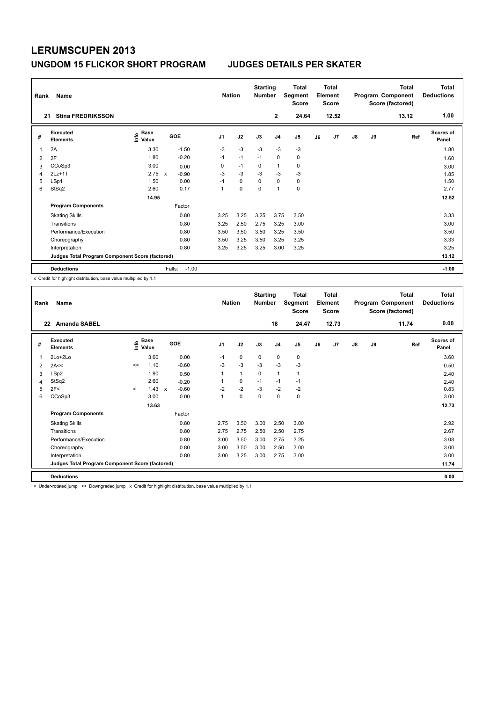| Rank<br>21 | Name<br><b>Stina FREDRIKSSON</b>                |                       |                         | <b>Nation</b>  |             | <b>Starting</b><br><b>Number</b> | $\mathbf{2}$   | <b>Total</b><br>Segment<br><b>Score</b><br>24.64 |    | <b>Total</b><br>Element<br><b>Score</b><br>12.52 |               |    | <b>Total</b><br>Program Component<br>Score (factored)<br>13.12 | Total<br><b>Deductions</b><br>1.00 |
|------------|-------------------------------------------------|-----------------------|-------------------------|----------------|-------------|----------------------------------|----------------|--------------------------------------------------|----|--------------------------------------------------|---------------|----|----------------------------------------------------------------|------------------------------------|
|            |                                                 |                       |                         |                |             |                                  |                |                                                  |    |                                                  |               |    |                                                                |                                    |
| #          | Executed<br><b>Elements</b>                     | Base<br>lnfo<br>Value | GOE                     | J <sub>1</sub> | J2          | J3                               | J <sub>4</sub> | J <sub>5</sub>                                   | J6 | J <sub>7</sub>                                   | $\mathsf{J}8$ | J9 | Ref                                                            | <b>Scores of</b><br>Panel          |
| 1          | 2A                                              | 3.30                  | $-1.50$                 | $-3$           | $-3$        | $-3$                             | $-3$           | $-3$                                             |    |                                                  |               |    |                                                                | 1.80                               |
| 2          | 2F                                              | 1.80                  | $-0.20$                 | $-1$           | $-1$        | $-1$                             | $\mathbf 0$    | 0                                                |    |                                                  |               |    |                                                                | 1.60                               |
| 3          | CCoSp3                                          | 3.00                  | 0.00                    | 0              | $-1$        | 0                                | $\mathbf{1}$   | 0                                                |    |                                                  |               |    |                                                                | 3.00                               |
| 4          | $2Lz+1T$                                        | 2.75                  | $-0.90$<br>$\mathbf{x}$ | $-3$           | $-3$        | $-3$                             | $-3$           | $-3$                                             |    |                                                  |               |    |                                                                | 1.85                               |
| 5          | LSp1                                            | 1.50                  | 0.00                    | $-1$           | $\mathbf 0$ | $\Omega$                         | $\mathbf 0$    | $\mathbf 0$                                      |    |                                                  |               |    |                                                                | 1.50                               |
| 6          | StSq2                                           | 2.60                  | 0.17                    | 1              | $\mathbf 0$ | $\mathbf 0$                      | $\overline{1}$ | $\mathbf 0$                                      |    |                                                  |               |    |                                                                | 2.77                               |
|            |                                                 | 14.95                 |                         |                |             |                                  |                |                                                  |    |                                                  |               |    |                                                                | 12.52                              |
|            | <b>Program Components</b>                       |                       | Factor                  |                |             |                                  |                |                                                  |    |                                                  |               |    |                                                                |                                    |
|            | <b>Skating Skills</b>                           |                       | 0.80                    | 3.25           | 3.25        | 3.25                             | 3.75           | 3.50                                             |    |                                                  |               |    |                                                                | 3.33                               |
|            | Transitions                                     |                       | 0.80                    | 3.25           | 2.50        | 2.75                             | 3.25           | 3.00                                             |    |                                                  |               |    |                                                                | 3.00                               |
|            | Performance/Execution                           |                       | 0.80                    | 3.50           | 3.50        | 3.50                             | 3.25           | 3.50                                             |    |                                                  |               |    |                                                                | 3.50                               |
|            | Choreography                                    |                       | 0.80                    | 3.50           | 3.25        | 3.50                             | 3.25           | 3.25                                             |    |                                                  |               |    |                                                                | 3.33                               |
|            | Interpretation                                  |                       | 0.80                    | 3.25           | 3.25        | 3.25                             | 3.00           | 3.25                                             |    |                                                  |               |    |                                                                | 3.25                               |
|            | Judges Total Program Component Score (factored) |                       |                         |                |             |                                  |                |                                                  |    |                                                  |               |    |                                                                | 13.12                              |
|            | <b>Deductions</b>                               |                       | $-1.00$<br>Falls:       |                |             |                                  |                |                                                  |    |                                                  |               |    |                                                                | $-1.00$                            |

x Credit for highlight distribution, base value multiplied by 1.1

| Rank | Name                                            |         |                      |                         | <b>Nation</b>  |      | <b>Starting</b><br><b>Number</b> |                | <b>Total</b><br>Segment<br><b>Score</b> |    | <b>Total</b><br>Element<br><b>Score</b> |    |    | <b>Total</b><br>Program Component<br>Score (factored) | <b>Total</b><br><b>Deductions</b> |
|------|-------------------------------------------------|---------|----------------------|-------------------------|----------------|------|----------------------------------|----------------|-----------------------------------------|----|-----------------------------------------|----|----|-------------------------------------------------------|-----------------------------------|
| 22   | <b>Amanda SABEL</b>                             |         |                      |                         |                |      |                                  | 18             | 24.47                                   |    | 12.73                                   |    |    | 11.74                                                 | 0.00                              |
| #    | <b>Executed</b><br><b>Elements</b>              | lnfo    | <b>Base</b><br>Value | <b>GOE</b>              | J <sub>1</sub> | J2   | J3                               | J <sub>4</sub> | J <sub>5</sub>                          | J6 | J7                                      | J8 | J9 | Ref                                                   | <b>Scores of</b><br>Panel         |
| 1    | $2Lo+2Lo$                                       |         | 3.60                 | 0.00                    | $-1$           | 0    | 0                                | 0              | 0                                       |    |                                         |    |    |                                                       | 3.60                              |
| 2    | 2A<<                                            | <<      | 1.10                 | $-0.60$                 | $-3$           | $-3$ | $-3$                             | $-3$           | $-3$                                    |    |                                         |    |    |                                                       | 0.50                              |
| 3    | LSp2                                            |         | 1.90                 | 0.50                    | 1              | 1    | 0                                | 1              | 1                                       |    |                                         |    |    |                                                       | 2.40                              |
| 4    | StSq2                                           |         | 2.60                 | $-0.20$                 |                | 0    | $-1$                             | $-1$           | $-1$                                    |    |                                         |    |    |                                                       | 2.40                              |
| 5    | 2F<                                             | $\prec$ | 1.43                 | $-0.60$<br>$\mathsf{x}$ | $-2$           | $-2$ | $-3$                             | $-2$           | $-2$                                    |    |                                         |    |    |                                                       | 0.83                              |
| 6    | CCoSp3                                          |         | 3.00                 | 0.00                    | $\overline{1}$ | 0    | 0                                | 0              | 0                                       |    |                                         |    |    |                                                       | 3.00                              |
|      |                                                 |         | 13.63                |                         |                |      |                                  |                |                                         |    |                                         |    |    |                                                       | 12.73                             |
|      | <b>Program Components</b>                       |         |                      | Factor                  |                |      |                                  |                |                                         |    |                                         |    |    |                                                       |                                   |
|      | <b>Skating Skills</b>                           |         |                      | 0.80                    | 2.75           | 3.50 | 3.00                             | 2.50           | 3.00                                    |    |                                         |    |    |                                                       | 2.92                              |
|      | Transitions                                     |         |                      | 0.80                    | 2.75           | 2.75 | 2.50                             | 2.50           | 2.75                                    |    |                                         |    |    |                                                       | 2.67                              |
|      | Performance/Execution                           |         |                      | 0.80                    | 3.00           | 3.50 | 3.00                             | 2.75           | 3.25                                    |    |                                         |    |    |                                                       | 3.08                              |
|      | Choreography                                    |         |                      | 0.80                    | 3.00           | 3.50 | 3.00                             | 2.50           | 3.00                                    |    |                                         |    |    |                                                       | 3.00                              |
|      | Interpretation                                  |         |                      | 0.80                    | 3.00           | 3.25 | 3.00                             | 2.75           | 3.00                                    |    |                                         |    |    |                                                       | 3.00                              |
|      | Judges Total Program Component Score (factored) |         |                      |                         |                |      |                                  |                |                                         |    |                                         |    |    |                                                       | 11.74                             |
|      | <b>Deductions</b>                               |         |                      |                         |                |      |                                  |                |                                         |    |                                         |    |    |                                                       | 0.00                              |

< Under-rotated jump << Downgraded jump x Credit for highlight distribution, base value multiplied by 1.1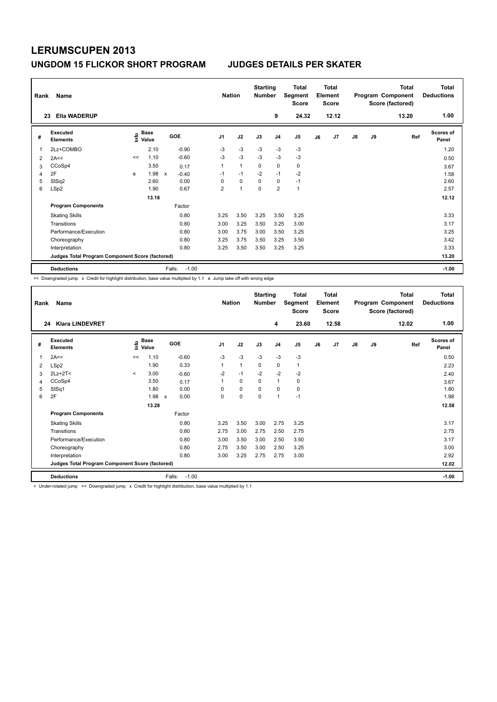| Rank           | Name                                            |      |                      |   |                   | <b>Nation</b>  |              | <b>Starting</b><br><b>Number</b> |                | <b>Total</b><br>Segment<br><b>Score</b> |    | <b>Total</b><br>Element<br><b>Score</b> |               |    | <b>Total</b><br>Program Component<br>Score (factored) | Total<br><b>Deductions</b><br>1.00 |
|----------------|-------------------------------------------------|------|----------------------|---|-------------------|----------------|--------------|----------------------------------|----------------|-----------------------------------------|----|-----------------------------------------|---------------|----|-------------------------------------------------------|------------------------------------|
| 23             | <b>Ella WADERUP</b>                             |      |                      |   |                   |                |              |                                  | 9              | 24.32                                   |    | 12.12                                   |               |    | 13.20                                                 |                                    |
| #              | Executed<br><b>Elements</b>                     | ١nfo | <b>Base</b><br>Value |   | GOE               | J <sub>1</sub> | J2           | J3                               | J <sub>4</sub> | J <sub>5</sub>                          | J6 | J7                                      | $\mathsf{J}8$ | J9 | Ref                                                   | <b>Scores of</b><br>Panel          |
| $\mathbf 1$    | 2Lz+COMBO                                       |      | 2.10                 |   | $-0.90$           | $-3$           | $-3$         | $-3$                             | $-3$           | $-3$                                    |    |                                         |               |    |                                                       | 1.20                               |
| 2              | 2A<<                                            | <<   | 1.10                 |   | $-0.60$           | $-3$           | $-3$         | $-3$                             | $-3$           | $-3$                                    |    |                                         |               |    |                                                       | 0.50                               |
| 3              | CCoSp4                                          |      | 3.50                 |   | 0.17              |                | $\mathbf{1}$ | $\mathbf 0$                      | $\mathbf 0$    | $\pmb{0}$                               |    |                                         |               |    |                                                       | 3.67                               |
| $\overline{4}$ | 2F                                              | e    | 1.98                 | X | $-0.40$           | $-1$           | $-1$         | $-2$                             | $-1$           | $-2$                                    |    |                                         |               |    |                                                       | 1.58                               |
| 5              | StSq2                                           |      | 2.60                 |   | 0.00              | $\Omega$       | $\mathbf 0$  | $\Omega$                         | $\mathbf 0$    | $-1$                                    |    |                                         |               |    |                                                       | 2.60                               |
| 6              | LSp2                                            |      | 1.90                 |   | 0.67              | $\overline{2}$ | 1            | $\Omega$                         | $\overline{2}$ | $\mathbf{1}$                            |    |                                         |               |    |                                                       | 2.57                               |
|                |                                                 |      | 13.18                |   |                   |                |              |                                  |                |                                         |    |                                         |               |    |                                                       | 12.12                              |
|                | <b>Program Components</b>                       |      |                      |   | Factor            |                |              |                                  |                |                                         |    |                                         |               |    |                                                       |                                    |
|                | <b>Skating Skills</b>                           |      |                      |   | 0.80              | 3.25           | 3.50         | 3.25                             | 3.50           | 3.25                                    |    |                                         |               |    |                                                       | 3.33                               |
|                | Transitions                                     |      |                      |   | 0.80              | 3.00           | 3.25         | 3.50                             | 3.25           | 3.00                                    |    |                                         |               |    |                                                       | 3.17                               |
|                | Performance/Execution                           |      |                      |   | 0.80              | 3.00           | 3.75         | 3.00                             | 3.50           | 3.25                                    |    |                                         |               |    |                                                       | 3.25                               |
|                | Choreography                                    |      |                      |   | 0.80              | 3.25           | 3.75         | 3.50                             | 3.25           | 3.50                                    |    |                                         |               |    |                                                       | 3.42                               |
|                | Interpretation                                  |      |                      |   | 0.80              | 3.25           | 3.50         | 3.50                             | 3.25           | 3.25                                    |    |                                         |               |    |                                                       | 3.33                               |
|                | Judges Total Program Component Score (factored) |      |                      |   |                   |                |              |                                  |                |                                         |    |                                         |               |    |                                                       | 13.20                              |
|                | <b>Deductions</b>                               |      |                      |   | Falls:<br>$-1.00$ |                |              |                                  |                |                                         |    |                                         |               |    |                                                       | $-1.00$                            |

<< Downgraded jump x Credit for highlight distribution, base value multiplied by 1.1 e Jump take off with wrong edge

| Rank<br>24 | Name<br><b>Klara LINDEVRET</b>                  |              |                          |                                   | <b>Nation</b>  |              | <b>Starting</b><br><b>Number</b> | 4              | Total<br>Segment<br><b>Score</b><br>23.60 |    | Total<br>Element<br><b>Score</b><br>12.58 |               |    | <b>Total</b><br>Program Component<br>Score (factored)<br>12.02 | Total<br><b>Deductions</b><br>1.00 |
|------------|-------------------------------------------------|--------------|--------------------------|-----------------------------------|----------------|--------------|----------------------------------|----------------|-------------------------------------------|----|-------------------------------------------|---------------|----|----------------------------------------------------------------|------------------------------------|
| #          | <b>Executed</b><br><b>Elements</b>              | Έ            | $_{\circ}$ Base<br>Value | GOE                               | J <sub>1</sub> | J2           | J3                               | J <sub>4</sub> | J <sub>5</sub>                            | J6 | J7                                        | $\mathsf{J}8$ | J9 | Ref                                                            | <b>Scores of</b><br>Panel          |
| 1          | 2A<<                                            | <<           | 1.10                     | $-0.60$                           | $-3$           | $-3$         | $-3$                             | $-3$           | $-3$                                      |    |                                           |               |    |                                                                | 0.50                               |
| 2          | LSp2                                            |              | 1.90                     | 0.33                              | 1              | $\mathbf{1}$ | 0                                | 0              | 1                                         |    |                                           |               |    |                                                                | 2.23                               |
| 3          | $2Lz+2T<$                                       | $\checkmark$ | 3.00                     | $-0.60$                           | $-2$           | $-1$         | $-2$                             | $-2$           | $-2$                                      |    |                                           |               |    |                                                                | 2.40                               |
| 4          | CCoSp4                                          |              | 3.50                     | 0.17                              |                | 0            | 0                                | 1              | 0                                         |    |                                           |               |    |                                                                | 3.67                               |
| 5          | StSq1                                           |              | 1.80                     | 0.00                              | 0              | 0            | $\Omega$                         | $\Omega$       | 0                                         |    |                                           |               |    |                                                                | 1.80                               |
| 6          | 2F                                              |              | 1.98                     | 0.00<br>$\boldsymbol{\mathsf{x}}$ | 0              | 0            | $\mathbf 0$                      | $\mathbf{1}$   | $-1$                                      |    |                                           |               |    |                                                                | 1.98                               |
|            |                                                 |              | 13.28                    |                                   |                |              |                                  |                |                                           |    |                                           |               |    |                                                                | 12.58                              |
|            | <b>Program Components</b>                       |              |                          | Factor                            |                |              |                                  |                |                                           |    |                                           |               |    |                                                                |                                    |
|            | <b>Skating Skills</b>                           |              |                          | 0.80                              | 3.25           | 3.50         | 3.00                             | 2.75           | 3.25                                      |    |                                           |               |    |                                                                | 3.17                               |
|            | Transitions                                     |              |                          | 0.80                              | 2.75           | 3.00         | 2.75                             | 2.50           | 2.75                                      |    |                                           |               |    |                                                                | 2.75                               |
|            | Performance/Execution                           |              |                          | 0.80                              | 3.00           | 3.50         | 3.00                             | 2.50           | 3.50                                      |    |                                           |               |    |                                                                | 3.17                               |
|            | Choreography                                    |              |                          | 0.80                              | 2.75           | 3.50         | 3.00                             | 2.50           | 3.25                                      |    |                                           |               |    |                                                                | 3.00                               |
|            | Interpretation                                  |              |                          | 0.80                              | 3.00           | 3.25         | 2.75                             | 2.75           | 3.00                                      |    |                                           |               |    |                                                                | 2.92                               |
|            | Judges Total Program Component Score (factored) |              |                          |                                   |                |              |                                  |                |                                           |    |                                           |               |    |                                                                | 12.02                              |
|            | <b>Deductions</b>                               |              |                          | Falls:<br>$-1.00$                 |                |              |                                  |                |                                           |    |                                           |               |    |                                                                | $-1.00$                            |

< Under-rotated jump << Downgraded jump x Credit for highlight distribution, base value multiplied by 1.1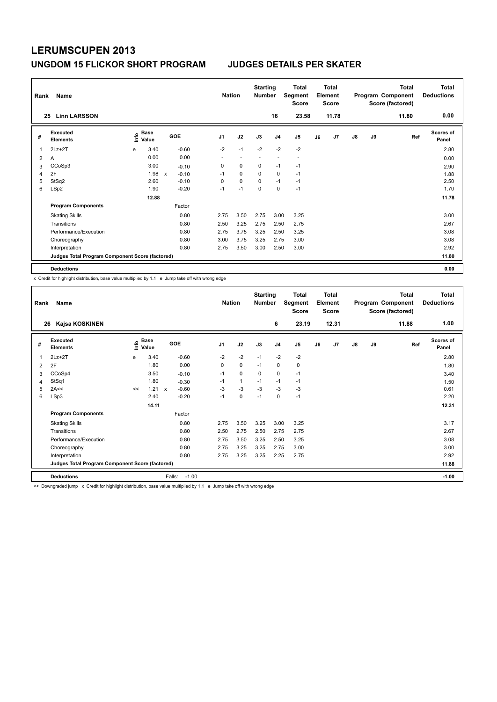| Rank | Name                                            |      |                      |              |            |                          | <b>Nation</b>            | <b>Starting</b><br><b>Number</b> |                | Total<br>Segment<br><b>Score</b> |    | <b>Total</b><br>Element<br><b>Score</b> |               |    | <b>Total</b><br>Program Component<br>Score (factored) | <b>Total</b><br><b>Deductions</b> |
|------|-------------------------------------------------|------|----------------------|--------------|------------|--------------------------|--------------------------|----------------------------------|----------------|----------------------------------|----|-----------------------------------------|---------------|----|-------------------------------------------------------|-----------------------------------|
|      | <b>Linn LARSSON</b><br>25                       |      |                      |              |            |                          |                          |                                  | 16             | 23.58                            |    | 11.78                                   |               |    | 11.80                                                 | 0.00                              |
| #    | <b>Executed</b><br><b>Elements</b>              | lnfo | <b>Base</b><br>Value |              | <b>GOE</b> | J <sub>1</sub>           | J2                       | J3                               | J <sub>4</sub> | J5                               | J6 | J7                                      | $\mathsf{J}8$ | J9 | Ref                                                   | <b>Scores of</b><br>Panel         |
| 1    | $2Lz+2T$                                        | e    | 3.40                 |              | $-0.60$    | $-2$                     | $-1$                     | $-2$                             | $-2$           | $-2$                             |    |                                         |               |    |                                                       | 2.80                              |
| 2    | Α                                               |      | 0.00                 |              | 0.00       | $\overline{\phantom{a}}$ | $\overline{\phantom{a}}$ | $\overline{\phantom{a}}$         |                | $\overline{\phantom{a}}$         |    |                                         |               |    |                                                       | 0.00                              |
| 3    | CCoSp3                                          |      | 3.00                 |              | $-0.10$    | 0                        | $\mathbf 0$              | 0                                | $-1$           | $-1$                             |    |                                         |               |    |                                                       | 2.90                              |
| 4    | 2F                                              |      | 1.98                 | $\mathsf{x}$ | $-0.10$    | $-1$                     | $\mathbf 0$              | 0                                | 0              | $-1$                             |    |                                         |               |    |                                                       | 1.88                              |
| 5    | StSq2                                           |      | 2.60                 |              | $-0.10$    | 0                        | $\mathbf 0$              | $\mathbf 0$                      | $-1$           | $-1$                             |    |                                         |               |    |                                                       | 2.50                              |
| 6    | LSp2                                            |      | 1.90                 |              | $-0.20$    | $-1$                     | $-1$                     | $\Omega$                         | 0              | $-1$                             |    |                                         |               |    |                                                       | 1.70                              |
|      |                                                 |      | 12.88                |              |            |                          |                          |                                  |                |                                  |    |                                         |               |    |                                                       | 11.78                             |
|      | <b>Program Components</b>                       |      |                      |              | Factor     |                          |                          |                                  |                |                                  |    |                                         |               |    |                                                       |                                   |
|      | <b>Skating Skills</b>                           |      |                      |              | 0.80       | 2.75                     | 3.50                     | 2.75                             | 3.00           | 3.25                             |    |                                         |               |    |                                                       | 3.00                              |
|      | Transitions                                     |      |                      |              | 0.80       | 2.50                     | 3.25                     | 2.75                             | 2.50           | 2.75                             |    |                                         |               |    |                                                       | 2.67                              |
|      | Performance/Execution                           |      |                      |              | 0.80       | 2.75                     | 3.75                     | 3.25                             | 2.50           | 3.25                             |    |                                         |               |    |                                                       | 3.08                              |
|      | Choreography                                    |      |                      |              | 0.80       | 3.00                     | 3.75                     | 3.25                             | 2.75           | 3.00                             |    |                                         |               |    |                                                       | 3.08                              |
|      | Interpretation                                  |      |                      |              | 0.80       | 2.75                     | 3.50                     | 3.00                             | 2.50           | 3.00                             |    |                                         |               |    |                                                       | 2.92                              |
|      | Judges Total Program Component Score (factored) |      |                      |              |            |                          |                          |                                  |                |                                  |    |                                         |               |    |                                                       | 11.80                             |
|      | <b>Deductions</b>                               |      |                      |              |            |                          |                          |                                  |                |                                  |    |                                         |               |    |                                                       | 0.00                              |

x Credit for highlight distribution, base value multiplied by 1.1 e Jump take off with wrong edge

| Rank<br>26 | Name<br>Kajsa KOSKINEN                          |    |                          |                         | <b>Nation</b>  |              | <b>Starting</b><br><b>Number</b> | 6              | Total<br>Segment<br><b>Score</b><br>23.19 |    | <b>Total</b><br>Element<br><b>Score</b><br>12.31 |               |    | <b>Total</b><br>Program Component<br>Score (factored)<br>11.88 | Total<br><b>Deductions</b><br>1.00 |
|------------|-------------------------------------------------|----|--------------------------|-------------------------|----------------|--------------|----------------------------------|----------------|-------------------------------------------|----|--------------------------------------------------|---------------|----|----------------------------------------------------------------|------------------------------------|
| #          | Executed<br><b>Elements</b>                     | έ  | $_{\circ}$ Base<br>Value | <b>GOE</b>              | J <sub>1</sub> | J2           | J3                               | J <sub>4</sub> | J5                                        | J6 | J <sub>7</sub>                                   | $\mathsf{J}8$ | J9 | Ref                                                            | Scores of<br>Panel                 |
| 1          | $2Lz+2T$                                        | e  | 3.40                     | $-0.60$                 | $-2$           | $-2$         | $-1$                             | $-2$           | $-2$                                      |    |                                                  |               |    |                                                                | 2.80                               |
| 2          | 2F                                              |    | 1.80                     | 0.00                    | 0              | $\pmb{0}$    | $-1$                             | 0              | 0                                         |    |                                                  |               |    |                                                                | 1.80                               |
| 3          | CCoSp4                                          |    | 3.50                     | $-0.10$                 | $-1$           | $\Omega$     | $\mathbf 0$                      | $\mathbf 0$    | $-1$                                      |    |                                                  |               |    |                                                                | 3.40                               |
| 4          | StSq1                                           |    | 1.80                     | $-0.30$                 | $-1$           | $\mathbf{1}$ | $-1$                             | $-1$           | $-1$                                      |    |                                                  |               |    |                                                                | 1.50                               |
| 5          | 2A<<                                            | << | 1.21                     | $-0.60$<br>$\mathsf{x}$ | $-3$           | $-3$         | $-3$                             | $-3$           | $-3$                                      |    |                                                  |               |    |                                                                | 0.61                               |
| 6          | LSp3                                            |    | 2.40                     | $-0.20$                 | $-1$           | 0            | $-1$                             | 0              | $-1$                                      |    |                                                  |               |    |                                                                | 2.20                               |
|            |                                                 |    | 14.11                    |                         |                |              |                                  |                |                                           |    |                                                  |               |    |                                                                | 12.31                              |
|            | <b>Program Components</b>                       |    |                          | Factor                  |                |              |                                  |                |                                           |    |                                                  |               |    |                                                                |                                    |
|            | <b>Skating Skills</b>                           |    |                          | 0.80                    | 2.75           | 3.50         | 3.25                             | 3.00           | 3.25                                      |    |                                                  |               |    |                                                                | 3.17                               |
|            | Transitions                                     |    |                          | 0.80                    | 2.50           | 2.75         | 2.50                             | 2.75           | 2.75                                      |    |                                                  |               |    |                                                                | 2.67                               |
|            | Performance/Execution                           |    |                          | 0.80                    | 2.75           | 3.50         | 3.25                             | 2.50           | 3.25                                      |    |                                                  |               |    |                                                                | 3.08                               |
|            | Choreography                                    |    |                          | 0.80                    | 2.75           | 3.25         | 3.25                             | 2.75           | 3.00                                      |    |                                                  |               |    |                                                                | 3.00                               |
|            | Interpretation                                  |    |                          | 0.80                    | 2.75           | 3.25         | 3.25                             | 2.25           | 2.75                                      |    |                                                  |               |    |                                                                | 2.92                               |
|            | Judges Total Program Component Score (factored) |    |                          |                         |                |              |                                  |                |                                           |    |                                                  |               |    |                                                                | 11.88                              |
|            | <b>Deductions</b>                               |    |                          | $-1.00$<br>Falls:       |                |              |                                  |                |                                           |    |                                                  |               |    |                                                                | $-1.00$                            |

<< Downgraded jump x Credit for highlight distribution, base value multiplied by 1.1 e Jump take off with wrong edge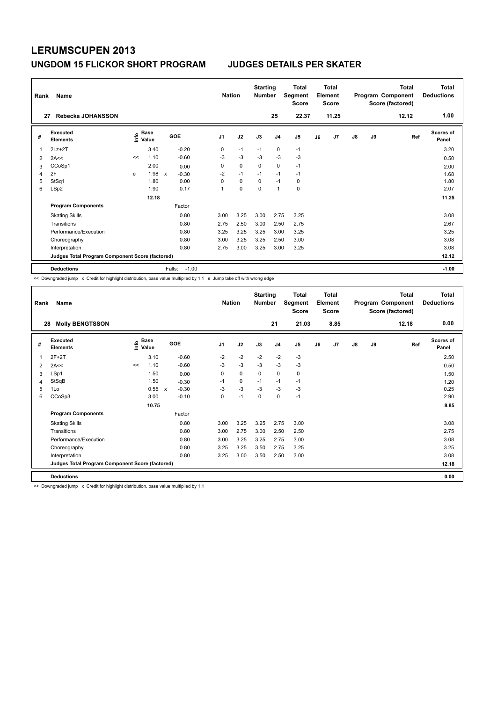| Rank<br>27 | Name<br>Rebecka JOHANSSON                       |       |                      |                           |         | <b>Nation</b>  |             | <b>Starting</b><br><b>Number</b> | 25             | <b>Total</b><br>Segment<br><b>Score</b><br>22.37 |    | <b>Total</b><br>Element<br><b>Score</b><br>11.25 |               |    | <b>Total</b><br>Program Component<br>Score (factored)<br>12.12 | Total<br><b>Deductions</b><br>1.00 |
|------------|-------------------------------------------------|-------|----------------------|---------------------------|---------|----------------|-------------|----------------------------------|----------------|--------------------------------------------------|----|--------------------------------------------------|---------------|----|----------------------------------------------------------------|------------------------------------|
|            |                                                 |       |                      |                           |         |                |             |                                  |                |                                                  |    |                                                  |               |    |                                                                |                                    |
| #          | Executed<br><b>Elements</b>                     | lnfo  | <b>Base</b><br>Value |                           | GOE     | J <sub>1</sub> | J2          | J3                               | J <sub>4</sub> | J5                                               | J6 | J <sub>7</sub>                                   | $\mathsf{J}8$ | J9 | Ref                                                            | <b>Scores of</b><br>Panel          |
| 1          | $2Lz+2T$                                        |       | 3.40                 |                           | $-0.20$ | 0              | $-1$        | $-1$                             | $\mathbf 0$    | $-1$                                             |    |                                                  |               |    |                                                                | 3.20                               |
| 2          | 2A<<                                            | <<    | 1.10                 |                           | $-0.60$ | $-3$           | $-3$        | $-3$                             | $-3$           | $-3$                                             |    |                                                  |               |    |                                                                | 0.50                               |
| 3          | CCoSp1                                          |       | 2.00                 |                           | 0.00    | 0              | 0           | $\Omega$                         | $\mathbf 0$    | $-1$                                             |    |                                                  |               |    |                                                                | 2.00                               |
| 4          | 2F                                              | e     | 1.98                 | $\boldsymbol{\mathsf{x}}$ | $-0.30$ | $-2$           | $-1$        | $-1$                             | $-1$           | $-1$                                             |    |                                                  |               |    |                                                                | 1.68                               |
| 5          | StSq1                                           |       | 1.80                 |                           | 0.00    | 0              | $\mathbf 0$ | $\mathbf 0$                      | $-1$           | 0                                                |    |                                                  |               |    |                                                                | 1.80                               |
| 6          | LSp2                                            |       | 1.90                 |                           | 0.17    | 1              | $\mathbf 0$ | $\mathbf 0$                      | $\mathbf{1}$   | $\mathbf 0$                                      |    |                                                  |               |    |                                                                | 2.07                               |
|            |                                                 | 12.18 |                      |                           |         |                |             |                                  |                |                                                  |    |                                                  |               |    |                                                                | 11.25                              |
|            | <b>Program Components</b>                       |       |                      |                           | Factor  |                |             |                                  |                |                                                  |    |                                                  |               |    |                                                                |                                    |
|            | <b>Skating Skills</b>                           |       |                      |                           | 0.80    | 3.00           | 3.25        | 3.00                             | 2.75           | 3.25                                             |    |                                                  |               |    |                                                                | 3.08                               |
|            | Transitions                                     |       |                      |                           | 0.80    | 2.75           | 2.50        | 3.00                             | 2.50           | 2.75                                             |    |                                                  |               |    |                                                                | 2.67                               |
|            | Performance/Execution                           |       |                      |                           | 0.80    | 3.25           | 3.25        | 3.25                             | 3.00           | 3.25                                             |    |                                                  |               |    |                                                                | 3.25                               |
|            | Choreography                                    |       |                      |                           | 0.80    | 3.00           | 3.25        | 3.25                             | 2.50           | 3.00                                             |    |                                                  |               |    |                                                                | 3.08                               |
|            | Interpretation                                  |       |                      |                           | 0.80    | 2.75           | 3.00        | 3.25                             | 3.00           | 3.25                                             |    |                                                  |               |    |                                                                | 3.08                               |
|            | Judges Total Program Component Score (factored) |       |                      |                           |         |                |             |                                  |                |                                                  |    |                                                  |               |    |                                                                | 12.12                              |
|            | <b>Deductions</b>                               |       |                      | Falls:                    | $-1.00$ |                |             |                                  |                |                                                  |    |                                                  |               |    |                                                                | $-1.00$                            |

<< Downgraded jump x Credit for highlight distribution, base value multiplied by 1.1 e Jump take off with wrong edge

| Rank | Name                                            |                       |       |                                      | <b>Nation</b>  |      | <b>Starting</b><br><b>Number</b> |                | <b>Total</b><br>Segment<br><b>Score</b> |    | <b>Total</b><br>Element<br><b>Score</b> |    |    | <b>Total</b><br>Program Component<br>Score (factored) | Total<br><b>Deductions</b> |
|------|-------------------------------------------------|-----------------------|-------|--------------------------------------|----------------|------|----------------------------------|----------------|-----------------------------------------|----|-----------------------------------------|----|----|-------------------------------------------------------|----------------------------|
| 28   | <b>Molly BENGTSSON</b>                          |                       |       |                                      |                |      |                                  | 21             | 21.03                                   |    | 8.85                                    |    |    | 12.18                                                 | 0.00                       |
| #    | Executed<br><b>Elements</b>                     | $\sum_{i=1}^{n}$ Base |       | <b>GOE</b>                           | J <sub>1</sub> | J2   | J3                               | J <sub>4</sub> | J <sub>5</sub>                          | J6 | J7                                      | J8 | J9 | Ref                                                   | <b>Scores of</b><br>Panel  |
| 1    | $2F+2T$                                         |                       | 3.10  | $-0.60$                              | $-2$           | $-2$ | $-2$                             | $-2$           | $-3$                                    |    |                                         |    |    |                                                       | 2.50                       |
| 2    | 2A<<                                            | <<                    | 1.10  | $-0.60$                              | $-3$           | $-3$ | $-3$                             | $-3$           | $-3$                                    |    |                                         |    |    |                                                       | 0.50                       |
| 3    | LSp1                                            |                       | 1.50  | 0.00                                 | 0              | 0    | $\mathbf 0$                      | $\mathbf 0$    | 0                                       |    |                                         |    |    |                                                       | 1.50                       |
| 4    | StSqB                                           |                       | 1.50  | $-0.30$                              | $-1$           | 0    | $-1$                             | $-1$           | $-1$                                    |    |                                         |    |    |                                                       | 1.20                       |
| 5    | 1Lo                                             |                       | 0.55  | $-0.30$<br>$\boldsymbol{\mathsf{x}}$ | $-3$           | $-3$ | $-3$                             | $-3$           | $-3$                                    |    |                                         |    |    |                                                       | 0.25                       |
| 6    | CCoSp3                                          |                       | 3.00  | $-0.10$                              | 0              | $-1$ | $\mathbf 0$                      | 0              | $-1$                                    |    |                                         |    |    |                                                       | 2.90                       |
|      |                                                 |                       | 10.75 |                                      |                |      |                                  |                |                                         |    |                                         |    |    |                                                       | 8.85                       |
|      | <b>Program Components</b>                       |                       |       | Factor                               |                |      |                                  |                |                                         |    |                                         |    |    |                                                       |                            |
|      | <b>Skating Skills</b>                           |                       |       | 0.80                                 | 3.00           | 3.25 | 3.25                             | 2.75           | 3.00                                    |    |                                         |    |    |                                                       | 3.08                       |
|      | Transitions                                     |                       |       | 0.80                                 | 3.00           | 2.75 | 3.00                             | 2.50           | 2.50                                    |    |                                         |    |    |                                                       | 2.75                       |
|      | Performance/Execution                           |                       |       | 0.80                                 | 3.00           | 3.25 | 3.25                             | 2.75           | 3.00                                    |    |                                         |    |    |                                                       | 3.08                       |
|      | Choreography                                    |                       |       | 0.80                                 | 3.25           | 3.25 | 3.50                             | 2.75           | 3.25                                    |    |                                         |    |    |                                                       | 3.25                       |
|      | Interpretation                                  |                       |       | 0.80                                 | 3.25           | 3.00 | 3.50                             | 2.50           | 3.00                                    |    |                                         |    |    |                                                       | 3.08                       |
|      | Judges Total Program Component Score (factored) |                       |       |                                      |                |      |                                  |                |                                         |    |                                         |    |    |                                                       | 12.18                      |
|      | <b>Deductions</b>                               |                       |       |                                      |                |      |                                  |                |                                         |    |                                         |    |    |                                                       | 0.00                       |